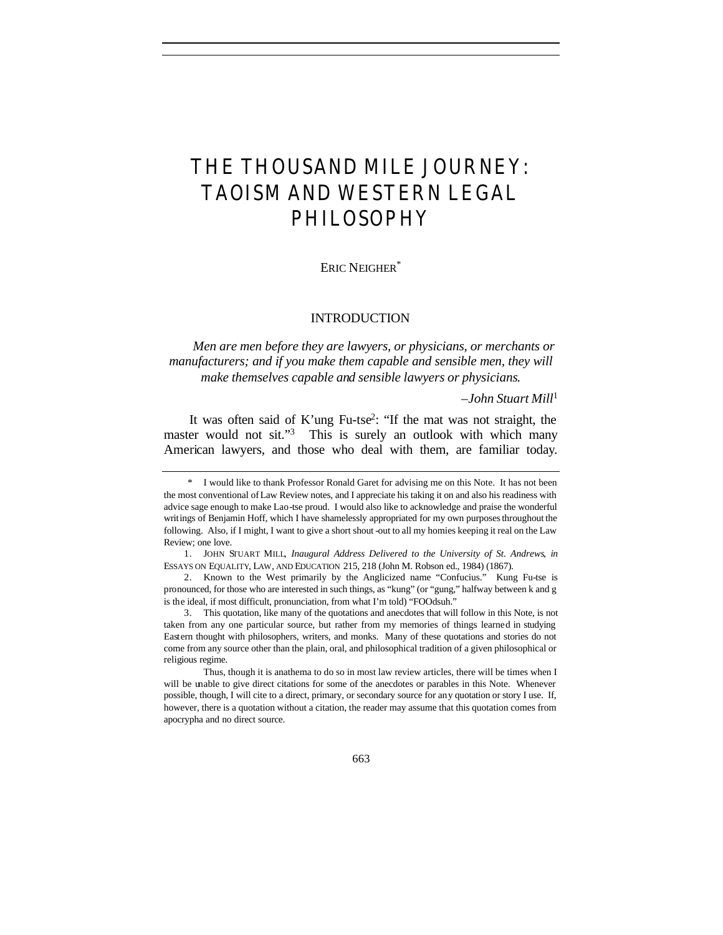# THE THOUSAND MILE JOURNEY: TAOISM AND WESTERN LEGAL PHILOSOPHY

ERIC NEIGHER\*

# INTRODUCTION

*Men are men before they are lawyers, or physicians, or merchants or manufacturers; and if you make them capable and sensible men, they will make themselves capable and sensible lawyers or physicians*.

*–John Stuart Mill*<sup>1</sup>

It was often said of K'ung Fu-tse<sup>2</sup>: "If the mat was not straight, the master would not sit."<sup>3</sup> This is surely an outlook with which many American lawyers, and those who deal with them, are familiar today.

<sup>\*</sup> I would like to thank Professor Ronald Garet for advising me on this Note. It has not been the most conventional of Law Review notes, and I appreciate his taking it on and also his readiness with advice sage enough to make Lao-tse proud. I would also like to acknowledge and praise the wonderful writings of Benjamin Hoff, which I have shamelessly appropriated for my own purposes throughout the following. Also, if I might, I want to give a short shout -out to all my homies keeping it real on the Law Review; one love.

<sup>1.</sup> JOHN STUART MILL, *Inaugural Address Delivered to the University of St. Andrews*, *in* ESSAYS ON EQUALITY, LAW, AND EDUCATION 215, 218 (John M. Robson ed., 1984) (1867).

<sup>2.</sup> Known to the West primarily by the Anglicized name "Confucius." Kung Fu-tse is pronounced, for those who are interested in such things, as "kung" (or "gung," halfway between k and g is the ideal, if most difficult, pronunciation, from what I'm told) "FOOdsuh."

<sup>3.</sup> This quotation, like many of the quotations and anecdotes that will follow in this Note, is not taken from any one particular source, but rather from my memories of things learned in studying Eastern thought with philosophers, writers, and monks. Many of these quotations and stories do not come from any source other than the plain, oral, and philosophical tradition of a given philosophical or religious regime.

Thus, though it is anathema to do so in most law review articles, there will be times when I will be unable to give direct citations for some of the anecdotes or parables in this Note. Whenever possible, though, I will cite to a direct, primary, or secondary source for any quotation or story I use. If, however, there is a quotation without a citation, the reader may assume that this quotation comes from apocrypha and no direct source.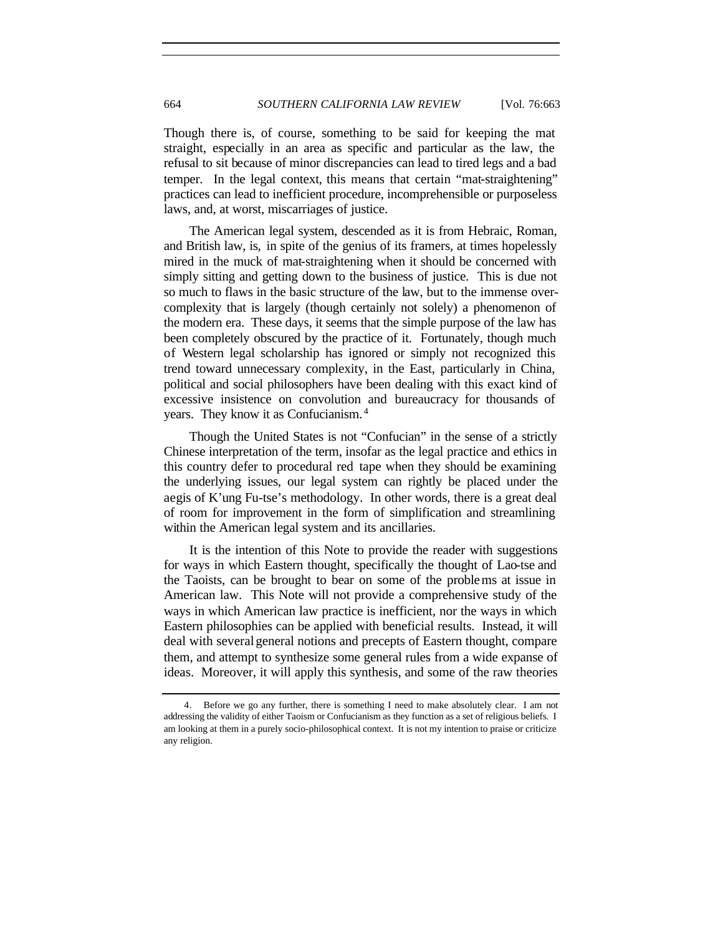Though there is, of course, something to be said for keeping the mat straight, especially in an area as specific and particular as the law, the refusal to sit because of minor discrepancies can lead to tired legs and a bad temper. In the legal context, this means that certain "mat-straightening" practices can lead to inefficient procedure, incomprehensible or purposeless laws, and, at worst, miscarriages of justice.

The American legal system, descended as it is from Hebraic, Roman, and British law, is, in spite of the genius of its framers, at times hopelessly mired in the muck of mat-straightening when it should be concerned with simply sitting and getting down to the business of justice. This is due not so much to flaws in the basic structure of the law, but to the immense overcomplexity that is largely (though certainly not solely) a phenomenon of the modern era. These days, it seems that the simple purpose of the law has been completely obscured by the practice of it. Fortunately, though much of Western legal scholarship has ignored or simply not recognized this trend toward unnecessary complexity, in the East, particularly in China, political and social philosophers have been dealing with this exact kind of excessive insistence on convolution and bureaucracy for thousands of years. They know it as Confucianism. <sup>4</sup>

Though the United States is not "Confucian" in the sense of a strictly Chinese interpretation of the term, insofar as the legal practice and ethics in this country defer to procedural red tape when they should be examining the underlying issues, our legal system can rightly be placed under the aegis of K'ung Fu-tse's methodology. In other words, there is a great deal of room for improvement in the form of simplification and streamlining within the American legal system and its ancillaries.

It is the intention of this Note to provide the reader with suggestions for ways in which Eastern thought, specifically the thought of Lao-tse and the Taoists, can be brought to bear on some of the problems at issue in American law. This Note will not provide a comprehensive study of the ways in which American law practice is inefficient, nor the ways in which Eastern philosophies can be applied with beneficial results. Instead, it will deal with several general notions and precepts of Eastern thought, compare them, and attempt to synthesize some general rules from a wide expanse of ideas. Moreover, it will apply this synthesis, and some of the raw theories

<sup>4.</sup> Before we go any further, there is something I need to make absolutely clear. I am not addressing the validity of either Taoism or Confucianism as they function as a set of religious beliefs. I am looking at them in a purely socio-philosophical context. It is not my intention to praise or criticize any religion.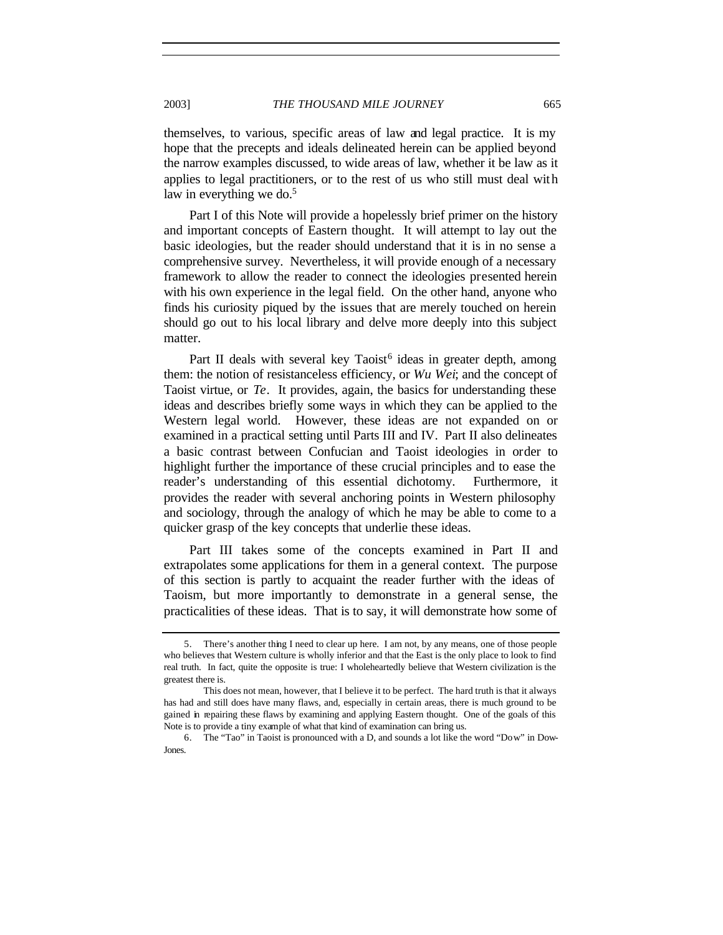themselves, to various, specific areas of law and legal practice. It is my hope that the precepts and ideals delineated herein can be applied beyond the narrow examples discussed, to wide areas of law, whether it be law as it applies to legal practitioners, or to the rest of us who still must deal with law in everything we do.<sup>5</sup>

Part I of this Note will provide a hopelessly brief primer on the history and important concepts of Eastern thought. It will attempt to lay out the basic ideologies, but the reader should understand that it is in no sense a comprehensive survey. Nevertheless, it will provide enough of a necessary framework to allow the reader to connect the ideologies presented herein with his own experience in the legal field. On the other hand, anyone who finds his curiosity piqued by the issues that are merely touched on herein should go out to his local library and delve more deeply into this subject matter.

Part II deals with several key Taoist<sup>6</sup> ideas in greater depth, among them: the notion of resistanceless efficiency, or *Wu Wei*; and the concept of Taoist virtue, or *Te*. It provides, again, the basics for understanding these ideas and describes briefly some ways in which they can be applied to the Western legal world. However, these ideas are not expanded on or examined in a practical setting until Parts III and IV. Part II also delineates a basic contrast between Confucian and Taoist ideologies in order to highlight further the importance of these crucial principles and to ease the reader's understanding of this essential dichotomy. Furthermore, it provides the reader with several anchoring points in Western philosophy and sociology, through the analogy of which he may be able to come to a quicker grasp of the key concepts that underlie these ideas.

Part III takes some of the concepts examined in Part II and extrapolates some applications for them in a general context. The purpose of this section is partly to acquaint the reader further with the ideas of Taoism, but more importantly to demonstrate in a general sense, the practicalities of these ideas. That is to say, it will demonstrate how some of

<sup>5.</sup> There's another thing I need to clear up here. I am not, by any means, one of those people who believes that Western culture is wholly inferior and that the East is the only place to look to find real truth. In fact, quite the opposite is true: I wholeheartedly believe that Western civilization is the greatest there is.

This does not mean, however, that I believe it to be perfect. The hard truth is that it always has had and still does have many flaws, and, especially in certain areas, there is much ground to be gained in repairing these flaws by examining and applying Eastern thought. One of the goals of this Note is to provide a tiny example of what that kind of examination can bring us.

<sup>6.</sup> The "Tao" in Taoist is pronounced with a D, and sounds a lot like the word "Dow" in Dow-Jones.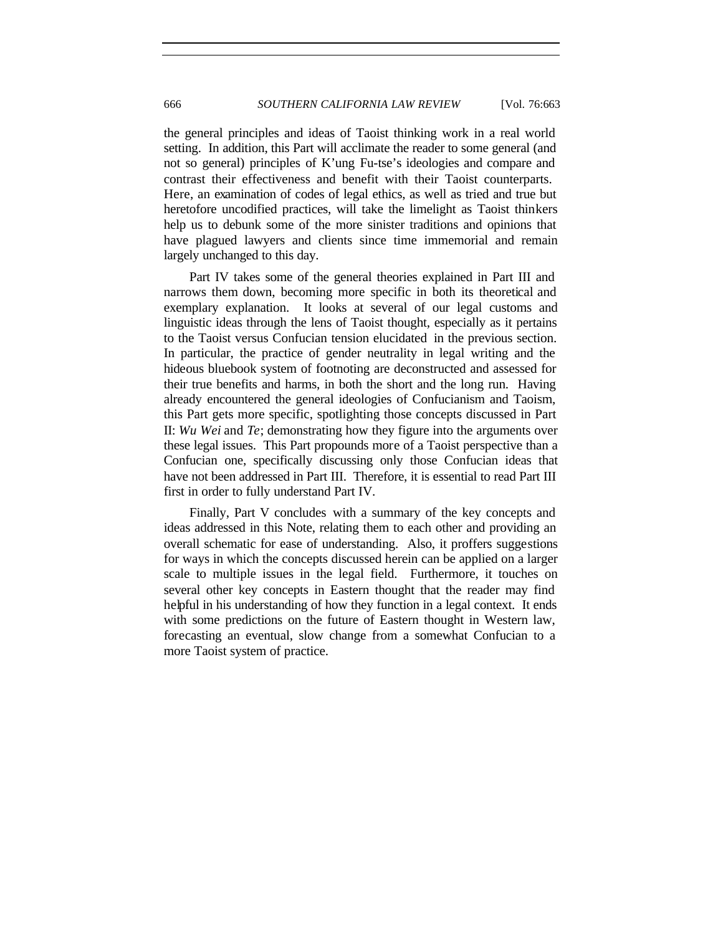the general principles and ideas of Taoist thinking work in a real world setting. In addition, this Part will acclimate the reader to some general (and not so general) principles of K'ung Fu-tse's ideologies and compare and contrast their effectiveness and benefit with their Taoist counterparts. Here, an examination of codes of legal ethics, as well as tried and true but heretofore uncodified practices, will take the limelight as Taoist thinkers help us to debunk some of the more sinister traditions and opinions that have plagued lawyers and clients since time immemorial and remain largely unchanged to this day.

Part IV takes some of the general theories explained in Part III and narrows them down, becoming more specific in both its theoretical and exemplary explanation. It looks at several of our legal customs and linguistic ideas through the lens of Taoist thought, especially as it pertains to the Taoist versus Confucian tension elucidated in the previous section. In particular, the practice of gender neutrality in legal writing and the hideous bluebook system of footnoting are deconstructed and assessed for their true benefits and harms, in both the short and the long run. Having already encountered the general ideologies of Confucianism and Taoism, this Part gets more specific, spotlighting those concepts discussed in Part II: *Wu Wei* and *Te*; demonstrating how they figure into the arguments over these legal issues. This Part propounds more of a Taoist perspective than a Confucian one, specifically discussing only those Confucian ideas that have not been addressed in Part III. Therefore, it is essential to read Part III first in order to fully understand Part IV.

Finally, Part V concludes with a summary of the key concepts and ideas addressed in this Note, relating them to each other and providing an overall schematic for ease of understanding. Also, it proffers suggestions for ways in which the concepts discussed herein can be applied on a larger scale to multiple issues in the legal field. Furthermore, it touches on several other key concepts in Eastern thought that the reader may find helpful in his understanding of how they function in a legal context. It ends with some predictions on the future of Eastern thought in Western law, forecasting an eventual, slow change from a somewhat Confucian to a more Taoist system of practice.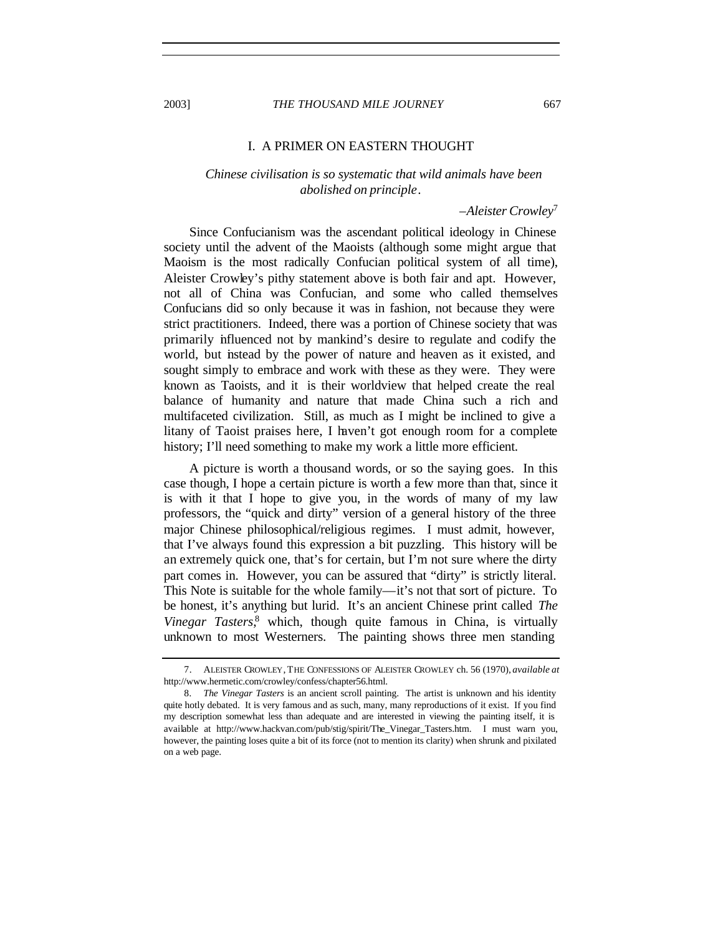#### I. A PRIMER ON EASTERN THOUGHT

# *Chinese civilisation is so systematic that wild animals have been abolished on principle*.

# *–Aleister Crowley*<sup>7</sup>

Since Confucianism was the ascendant political ideology in Chinese society until the advent of the Maoists (although some might argue that Maoism is the most radically Confucian political system of all time), Aleister Crowley's pithy statement above is both fair and apt. However, not all of China was Confucian, and some who called themselves Confucians did so only because it was in fashion, not because they were strict practitioners. Indeed, there was a portion of Chinese society that was primarily influenced not by mankind's desire to regulate and codify the world, but instead by the power of nature and heaven as it existed, and sought simply to embrace and work with these as they were. They were known as Taoists, and it is their worldview that helped create the real balance of humanity and nature that made China such a rich and multifaceted civilization. Still, as much as I might be inclined to give a litany of Taoist praises here, I haven't got enough room for a complete history; I'll need something to make my work a little more efficient.

A picture is worth a thousand words, or so the saying goes. In this case though, I hope a certain picture is worth a few more than that, since it is with it that I hope to give you, in the words of many of my law professors, the "quick and dirty" version of a general history of the three major Chinese philosophical/religious regimes. I must admit, however, that I've always found this expression a bit puzzling. This history will be an extremely quick one, that's for certain, but I'm not sure where the dirty part comes in. However, you can be assured that "dirty" is strictly literal. This Note is suitable for the whole family—it's not that sort of picture. To be honest, it's anything but lurid. It's an ancient Chinese print called *The Vinegar Tasters*, 8 which, though quite famous in China, is virtually unknown to most Westerners. The painting shows three men standing

<sup>7.</sup> ALEISTER CROWLEY, THE CONFESSIONS OF ALEISTER CROWLEY ch. 56 (1970), *available at* http://www.hermetic.com/crowley/confess/chapter56.html.

<sup>8</sup>*. The Vinegar Tasters* is an ancient scroll painting. The artist is unknown and his identity quite hotly debated. It is very famous and as such, many, many reproductions of it exist. If you find my description somewhat less than adequate and are interested in viewing the painting itself, it is available at http://www.hackvan.com/pub/stig/spirit/The\_Vinegar\_Tasters.htm. I must warn you, however, the painting loses quite a bit of its force (not to mention its clarity) when shrunk and pixilated on a web page.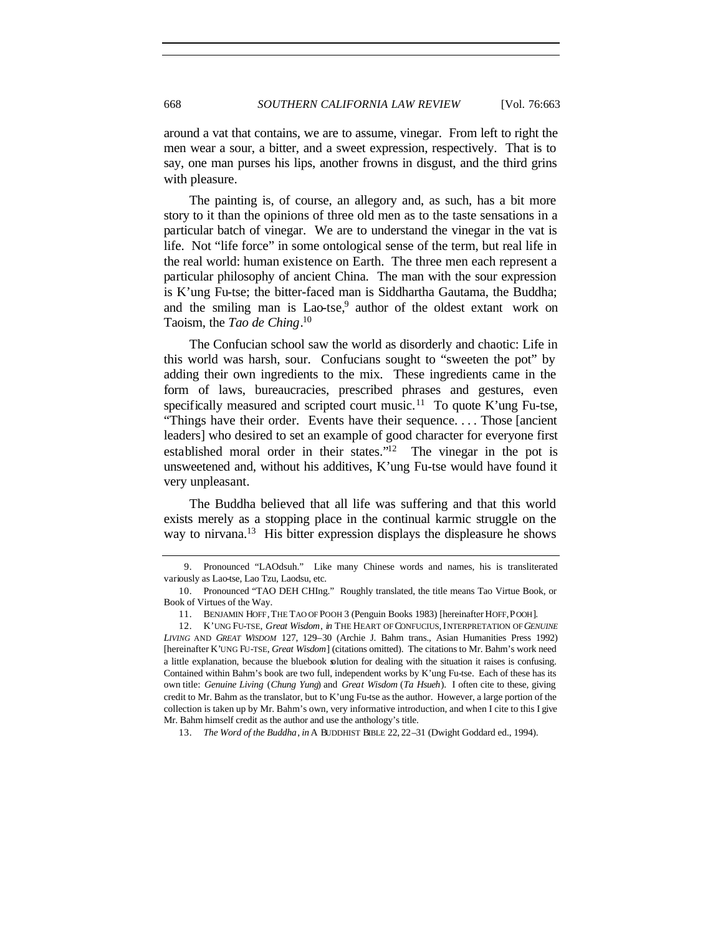around a vat that contains, we are to assume, vinegar. From left to right the men wear a sour, a bitter, and a sweet expression, respectively. That is to say, one man purses his lips, another frowns in disgust, and the third grins with pleasure.

The painting is, of course, an allegory and, as such, has a bit more story to it than the opinions of three old men as to the taste sensations in a particular batch of vinegar. We are to understand the vinegar in the vat is life. Not "life force" in some ontological sense of the term, but real life in the real world: human existence on Earth. The three men each represent a particular philosophy of ancient China. The man with the sour expression is K'ung Fu-tse; the bitter-faced man is Siddhartha Gautama, the Buddha; and the smiling man is Lao-tse,<sup>9</sup> author of the oldest extant work on Taoism, the *Tao de Ching*. 10

The Confucian school saw the world as disorderly and chaotic: Life in this world was harsh, sour. Confucians sought to "sweeten the pot" by adding their own ingredients to the mix. These ingredients came in the form of laws, bureaucracies, prescribed phrases and gestures, even specifically measured and scripted court music.<sup>11</sup> To quote K'ung Fu-tse, "Things have their order. Events have their sequence. . . . Those [ancient leaders] who desired to set an example of good character for everyone first established moral order in their states."<sup>12</sup> The vinegar in the pot is unsweetened and, without his additives, K'ung Fu-tse would have found it very unpleasant.

The Buddha believed that all life was suffering and that this world exists merely as a stopping place in the continual karmic struggle on the way to nirvana.<sup>13</sup> His bitter expression displays the displeasure he shows

13. *The Word of the Buddha*, *in* A BUDDHIST BIBLE 22, 22–31 (Dwight Goddard ed., 1994).

<sup>9.</sup> Pronounced "LAOdsuh." Like many Chinese words and names, his is transliterated variously as Lao-tse, Lao Tzu, Laodsu, etc.

<sup>10.</sup> Pronounced "TAO DEH CHIng." Roughly translated, the title means Tao Virtue Book, or Book of Virtues of the Way.

<sup>11.</sup> BENJAMIN HOFF, THE TAO OF POOH 3 (Penguin Books 1983) [hereinafter HOFF, POOH].

<sup>12.</sup> K'UNG FU-TSE, *Great Wisdom*, *in* THE HEART OF CONFUCIUS, INTERPRETATION OF *GENUINE LIVING* AND *GREAT WISDOM* 127, 129–30 (Archie J. Bahm trans., Asian Humanities Press 1992) [hereinafter K'UNG FU-TSE, *Great Wisdom*] (citations omitted). The citations to Mr. Bahm's work need a little explanation, because the bluebook solution for dealing with the situation it raises is confusing. Contained within Bahm's book are two full, independent works by K'ung Fu-tse. Each of these has its own title: *Genuine Living* (*Chung Yung*) and *Great Wisdom* (*Ta Hsueh*). I often cite to these, giving credit to Mr. Bahm as the translator, but to K'ung Fu-tse as the author. However, a large portion of the collection is taken up by Mr. Bahm's own, very informative introduction, and when I cite to this I give Mr. Bahm himself credit as the author and use the anthology's title.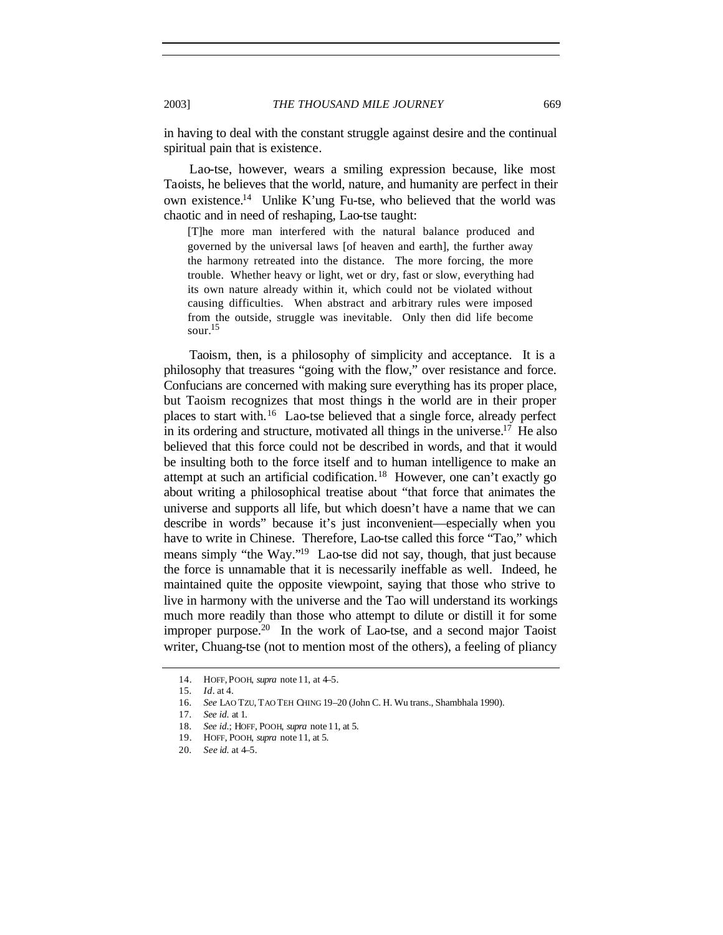in having to deal with the constant struggle against desire and the continual spiritual pain that is existence.

Lao-tse, however, wears a smiling expression because, like most Taoists, he believes that the world, nature, and humanity are perfect in their own existence.<sup>14</sup> Unlike K'ung Fu-tse, who believed that the world was chaotic and in need of reshaping, Lao-tse taught:

[T]he more man interfered with the natural balance produced and governed by the universal laws [of heaven and earth], the further away the harmony retreated into the distance. The more forcing, the more trouble. Whether heavy or light, wet or dry, fast or slow, everything had its own nature already within it, which could not be violated without causing difficulties. When abstract and arbitrary rules were imposed from the outside, struggle was inevitable. Only then did life become sour.<sup>15</sup>

Taoism, then, is a philosophy of simplicity and acceptance. It is a philosophy that treasures "going with the flow," over resistance and force. Confucians are concerned with making sure everything has its proper place, but Taoism recognizes that most things in the world are in their proper places to start with.<sup>16</sup> Lao-tse believed that a single force, already perfect in its ordering and structure, motivated all things in the universe.<sup>17</sup> He also believed that this force could not be described in words, and that it would be insulting both to the force itself and to human intelligence to make an attempt at such an artificial codification.<sup>18</sup> However, one can't exactly go about writing a philosophical treatise about "that force that animates the universe and supports all life, but which doesn't have a name that we can describe in words" because it's just inconvenient—especially when you have to write in Chinese. Therefore, Lao-tse called this force "Tao," which means simply "the Way."<sup>19</sup> Lao-tse did not say, though, that just because the force is unnamable that it is necessarily ineffable as well. Indeed, he maintained quite the opposite viewpoint, saying that those who strive to live in harmony with the universe and the Tao will understand its workings much more readily than those who attempt to dilute or distill it for some improper purpose.<sup>20</sup> In the work of Lao-tse, and a second major Taoist writer, Chuang-tse (not to mention most of the others), a feeling of pliancy

<sup>14.</sup> HOFF, POOH, *supra* note 11, at 4–5.

<sup>15</sup>*. Id*. at 4.

<sup>16</sup>*. See* LAO TZU, TAO TEH CHING 19–20 (John C. H. Wu trans., Shambhala 1990).

<sup>17</sup>*. See id*. at 1.

<sup>18</sup>*. See id*.; HOFF, POOH, *supra* note 11, at 5.

<sup>19.</sup> HOFF, POOH, *supra* note 11, at 5.

<sup>20</sup>*. See id*. at 4–5.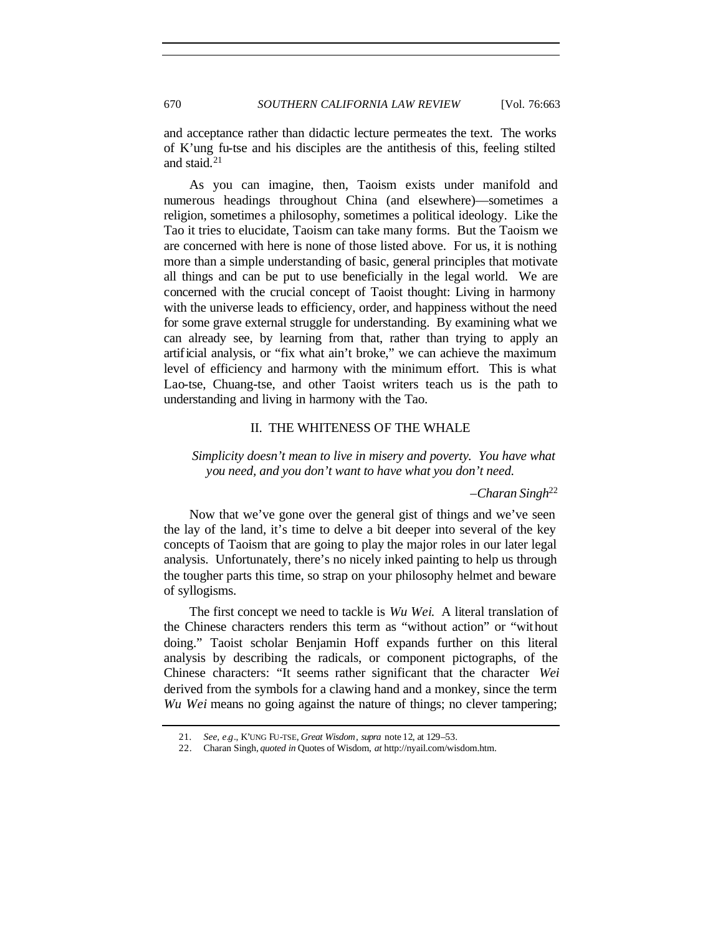and acceptance rather than didactic lecture permeates the text. The works of K'ung fu-tse and his disciples are the antithesis of this, feeling stilted and staid.<sup>21</sup>

As you can imagine, then, Taoism exists under manifold and numerous headings throughout China (and elsewhere)—sometimes a religion, sometimes a philosophy, sometimes a political ideology. Like the Tao it tries to elucidate, Taoism can take many forms. But the Taoism we are concerned with here is none of those listed above. For us, it is nothing more than a simple understanding of basic, general principles that motivate all things and can be put to use beneficially in the legal world. We are concerned with the crucial concept of Taoist thought: Living in harmony with the universe leads to efficiency, order, and happiness without the need for some grave external struggle for understanding. By examining what we can already see, by learning from that, rather than trying to apply an artificial analysis, or "fix what ain't broke," we can achieve the maximum level of efficiency and harmony with the minimum effort. This is what Lao-tse, Chuang-tse, and other Taoist writers teach us is the path to understanding and living in harmony with the Tao.

# II. THE WHITENESS OF THE WHALE

*Simplicity doesn't mean to live in misery and poverty. You have what you need, and you don't want to have what you don't need.*

*–Charan Singh*<sup>22</sup>

Now that we've gone over the general gist of things and we've seen the lay of the land, it's time to delve a bit deeper into several of the key concepts of Taoism that are going to play the major roles in our later legal analysis. Unfortunately, there's no nicely inked painting to help us through the tougher parts this time, so strap on your philosophy helmet and beware of syllogisms.

The first concept we need to tackle is *Wu Wei*. A literal translation of the Chinese characters renders this term as "without action" or "without doing." Taoist scholar Benjamin Hoff expands further on this literal analysis by describing the radicals, or component pictographs, of the Chinese characters: "It seems rather significant that the character *Wei* derived from the symbols for a clawing hand and a monkey, since the term *Wu Wei* means no going against the nature of things; no clever tampering;

<sup>21</sup>*. See, e*.*g*., K'UNG FU-TSE, *Great Wisdom*, *supra* note 12, at 129–53.

<sup>22.</sup> Charan Singh, *quoted in* Quotes of Wisdom, *at* http://nyail.com/wisdom.htm.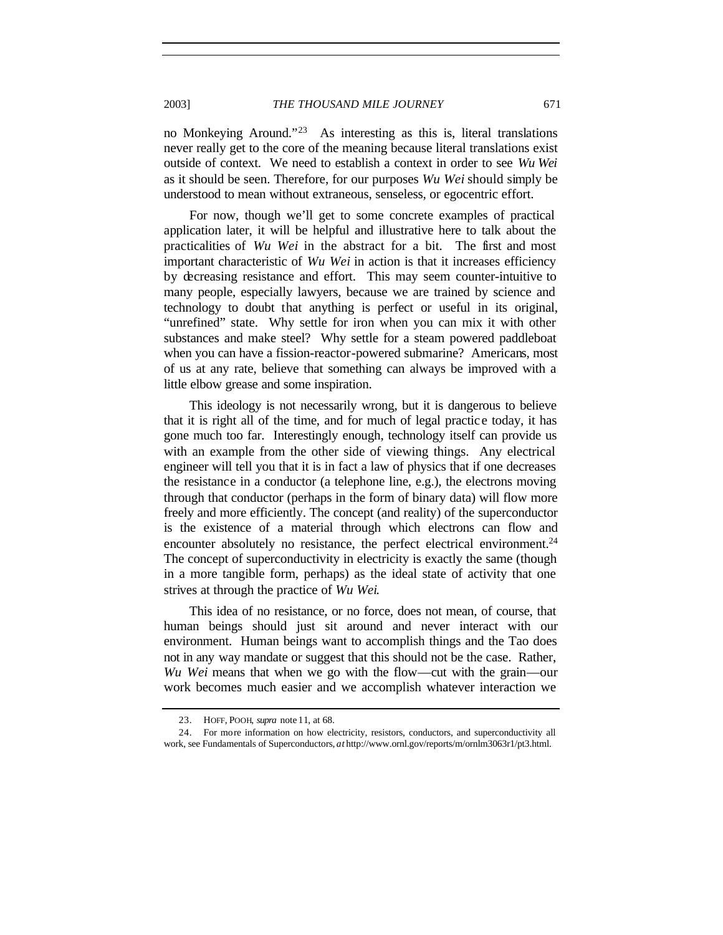2003] *THE THOUSAND MILE JOURNEY* 671

no Monkeying Around."<sup>23</sup> As interesting as this is, literal translations never really get to the core of the meaning because literal translations exist outside of context. We need to establish a context in order to see *Wu Wei*  as it should be seen. Therefore, for our purposes *Wu Wei* should simply be understood to mean without extraneous, senseless, or egocentric effort.

For now, though we'll get to some concrete examples of practical application later, it will be helpful and illustrative here to talk about the practicalities of *Wu Wei* in the abstract for a bit. The first and most important characteristic of *Wu Wei* in action is that it increases efficiency by decreasing resistance and effort. This may seem counter-intuitive to many people, especially lawyers, because we are trained by science and technology to doubt that anything is perfect or useful in its original, "unrefined" state. Why settle for iron when you can mix it with other substances and make steel? Why settle for a steam powered paddleboat when you can have a fission-reactor-powered submarine? Americans, most of us at any rate, believe that something can always be improved with a little elbow grease and some inspiration.

This ideology is not necessarily wrong, but it is dangerous to believe that it is right all of the time, and for much of legal practic e today, it has gone much too far. Interestingly enough, technology itself can provide us with an example from the other side of viewing things. Any electrical engineer will tell you that it is in fact a law of physics that if one decreases the resistance in a conductor (a telephone line, e.g.), the electrons moving through that conductor (perhaps in the form of binary data) will flow more freely and more efficiently. The concept (and reality) of the superconductor is the existence of a material through which electrons can flow and encounter absolutely no resistance, the perfect electrical environment.<sup>24</sup> The concept of superconductivity in electricity is exactly the same (though in a more tangible form, perhaps) as the ideal state of activity that one strives at through the practice of *Wu Wei*.

This idea of no resistance, or no force, does not mean, of course, that human beings should just sit around and never interact with our environment. Human beings want to accomplish things and the Tao does not in any way mandate or suggest that this should not be the case. Rather, *Wu Wei* means that when we go with the flow—cut with the grain—our work becomes much easier and we accomplish whatever interaction we

<sup>23.</sup> HOFF, POOH, *supra* note 11, at 68.

<sup>24.</sup> For more information on how electricity, resistors, conductors, and superconductivity all work, see Fundamentals of Superconductors, *at* http://www.ornl.gov/reports/m/ornlm3063r1/pt3.html.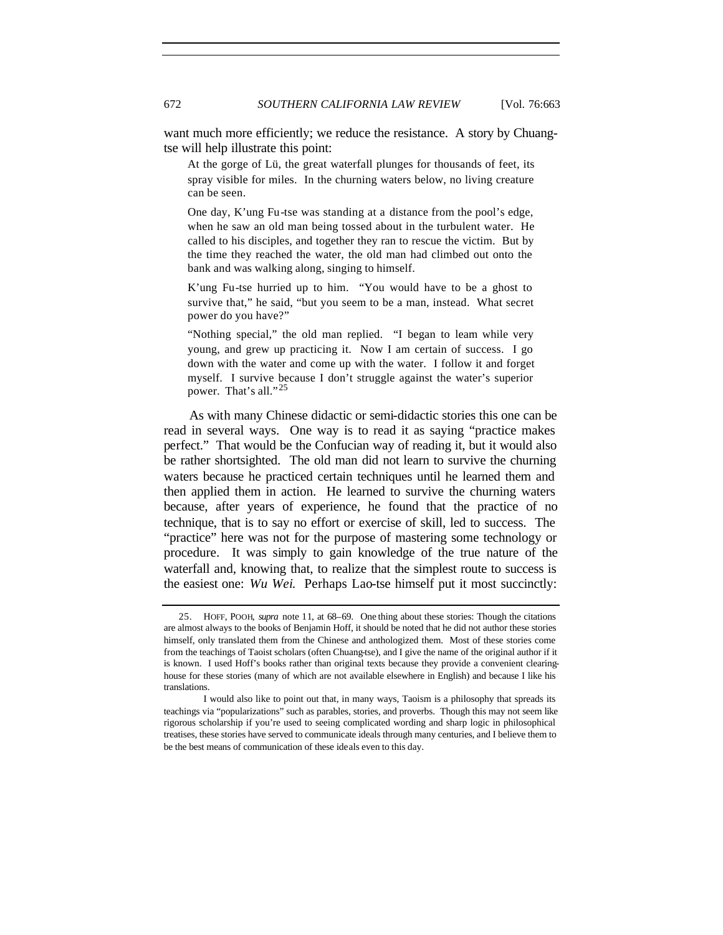want much more efficiently; we reduce the resistance. A story by Chuangtse will help illustrate this point:

At the gorge of Lü, the great waterfall plunges for thousands of feet, its spray visible for miles. In the churning waters below, no living creature can be seen.

One day, K'ung Fu-tse was standing at a distance from the pool's edge, when he saw an old man being tossed about in the turbulent water. He called to his disciples, and together they ran to rescue the victim. But by the time they reached the water, the old man had climbed out onto the bank and was walking along, singing to himself.

K'ung Fu-tse hurried up to him. "You would have to be a ghost to survive that," he said, "but you seem to be a man, instead. What secret power do you have?"

"Nothing special," the old man replied. "I began to learn while very young, and grew up practicing it. Now I am certain of success. I go down with the water and come up with the water. I follow it and forget myself. I survive because I don't struggle against the water's superior power. That's all."<sup>25</sup>

As with many Chinese didactic or semi-didactic stories this one can be read in several ways. One way is to read it as saying "practice makes perfect." That would be the Confucian way of reading it, but it would also be rather shortsighted. The old man did not learn to survive the churning waters because he practiced certain techniques until he learned them and then applied them in action. He learned to survive the churning waters because, after years of experience, he found that the practice of no technique, that is to say no effort or exercise of skill, led to success. The "practice" here was not for the purpose of mastering some technology or procedure. It was simply to gain knowledge of the true nature of the waterfall and, knowing that, to realize that the simplest route to success is the easiest one: *Wu Wei*. Perhaps Lao-tse himself put it most succinctly:

<sup>25.</sup> HOFF, POOH, *supra* note 11, at 68–69. One thing about these stories: Though the citations are almost always to the books of Benjamin Hoff, it should be noted that he did not author these stories himself, only translated them from the Chinese and anthologized them. Most of these stories come from the teachings of Taoist scholars (often Chuang-tse), and I give the name of the original author if it is known. I used Hoff's books rather than original texts because they provide a convenient clearinghouse for these stories (many of which are not available elsewhere in English) and because I like his translations.

I would also like to point out that, in many ways, Taoism is a philosophy that spreads its teachings via "popularizations" such as parables, stories, and proverbs. Though this may not seem like rigorous scholarship if you're used to seeing complicated wording and sharp logic in philosophical treatises, these stories have served to communicate ideals through many centuries, and I believe them to be the best means of communication of these ideals even to this day.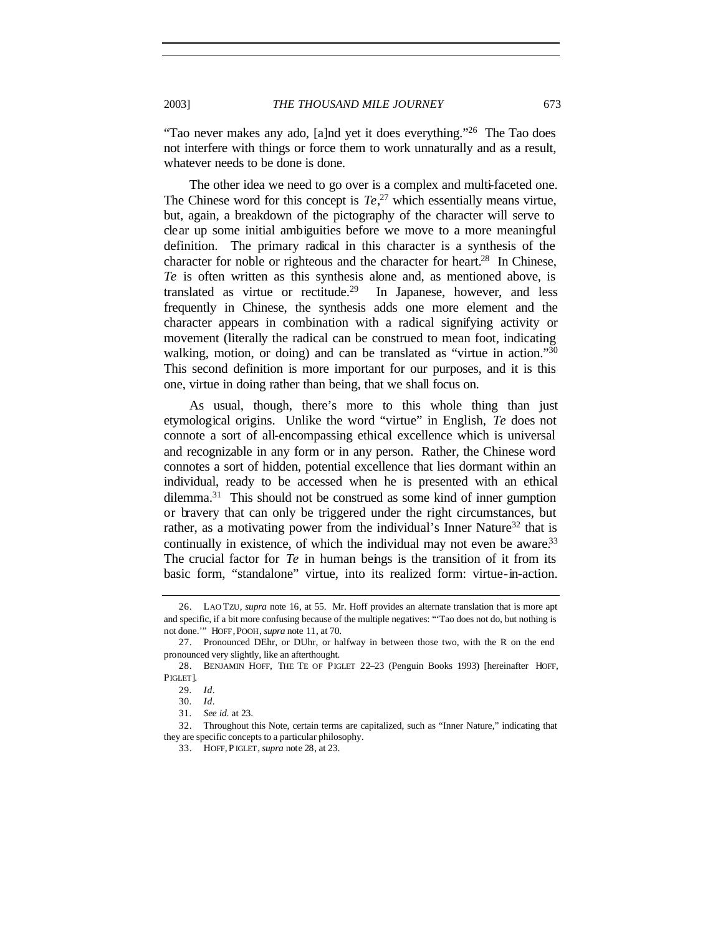"Tao never makes any ado, [a]nd yet it does everything."<sup>26</sup> The Tao does not interfere with things or force them to work unnaturally and as a result, whatever needs to be done is done.

The other idea we need to go over is a complex and multi-faceted one. The Chinese word for this concept is  $Te^{27}$  which essentially means virtue, but, again, a breakdown of the pictography of the character will serve to clear up some initial ambiguities before we move to a more meaningful definition. The primary radical in this character is a synthesis of the character for noble or righteous and the character for heart.<sup>28</sup> In Chinese, *Te* is often written as this synthesis alone and, as mentioned above, is translated as virtue or rectitude.<sup>29</sup> In Japanese, however, and less frequently in Chinese, the synthesis adds one more element and the character appears in combination with a radical signifying activity or movement (literally the radical can be construed to mean foot, indicating walking, motion, or doing) and can be translated as "virtue in action."<sup>30</sup> This second definition is more important for our purposes, and it is this one, virtue in doing rather than being, that we shall focus on.

As usual, though, there's more to this whole thing than just etymological origins. Unlike the word "virtue" in English, *Te* does not connote a sort of all-encompassing ethical excellence which is universal and recognizable in any form or in any person. Rather, the Chinese word connotes a sort of hidden, potential excellence that lies dormant within an individual, ready to be accessed when he is presented with an ethical dilemma.<sup>31</sup> This should not be construed as some kind of inner gumption or bravery that can only be triggered under the right circumstances, but rather, as a motivating power from the individual's Inner Nature<sup>32</sup> that is continually in existence, of which the individual may not even be aware.<sup>33</sup> The crucial factor for *Te* in human beings is the transition of it from its basic form, "standalone" virtue, into its realized form: virtue-in-action.

<sup>26.</sup> LAO TZU, *supra* note 16, at 55. Mr. Hoff provides an alternate translation that is more apt and specific, if a bit more confusing because of the multiple negatives: "'Tao does not do, but nothing is not done.'" HOFF, POOH, *supra* note 11, at 70.

<sup>27.</sup> Pronounced DEhr, or DUhr, or halfway in between those two, with the R on the end pronounced very slightly, like an afterthought.

<sup>28.</sup> BENJAMIN HOFF, THE TE OF PIGLET 22–23 (Penguin Books 1993) [hereinafter HOFF, PIGLET].

<sup>29</sup>*. Id*.

<sup>30</sup>*. Id*.

<sup>31</sup>*. See id*. at 23.

<sup>32.</sup> Throughout this Note, certain terms are capitalized, such as "Inner Nature," indicating that they are specific concepts to a particular philosophy.

<sup>33.</sup> HOFF, P IGLET, *supra* note 28, at 23.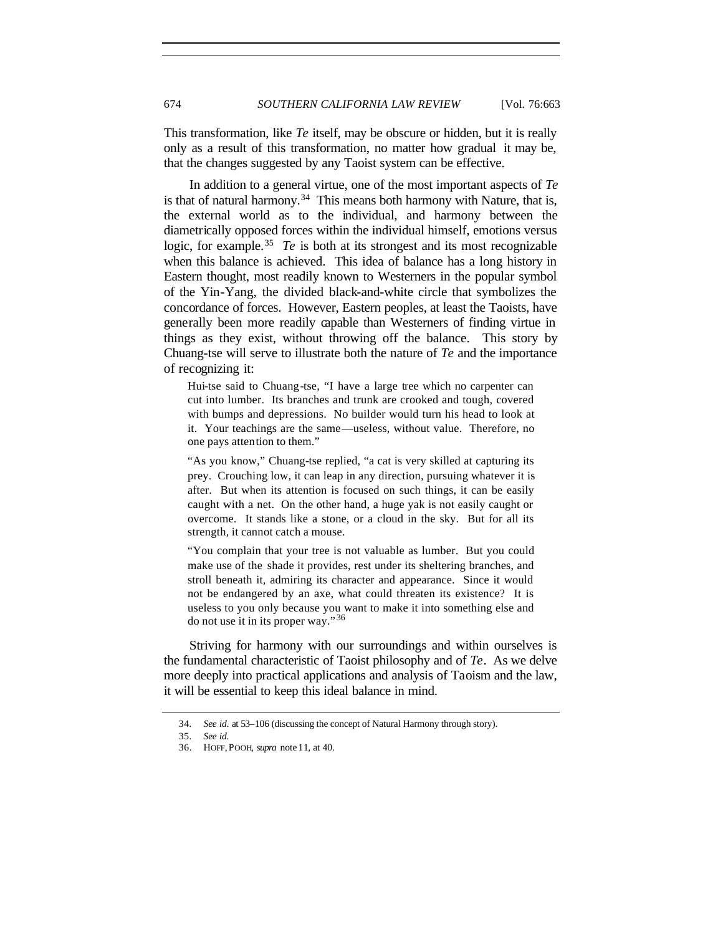This transformation, like *Te* itself, may be obscure or hidden, but it is really only as a result of this transformation, no matter how gradual it may be, that the changes suggested by any Taoist system can be effective.

In addition to a general virtue, one of the most important aspects of *Te* is that of natural harmony.<sup>34</sup> This means both harmony with Nature, that is, the external world as to the individual, and harmony between the diametrically opposed forces within the individual himself, emotions versus logic, for example.<sup>35</sup> Te is both at its strongest and its most recognizable when this balance is achieved. This idea of balance has a long history in Eastern thought, most readily known to Westerners in the popular symbol of the Yin-Yang, the divided black-and-white circle that symbolizes the concordance of forces. However, Eastern peoples, at least the Taoists, have generally been more readily capable than Westerners of finding virtue in things as they exist, without throwing off the balance. This story by Chuang-tse will serve to illustrate both the nature of *Te* and the importance of recognizing it:

Hui-tse said to Chuang-tse, "I have a large tree which no carpenter can cut into lumber. Its branches and trunk are crooked and tough, covered with bumps and depressions. No builder would turn his head to look at it. Your teachings are the same—useless, without value. Therefore, no one pays attention to them."

"As you know," Chuang-tse replied, "a cat is very skilled at capturing its prey. Crouching low, it can leap in any direction, pursuing whatever it is after. But when its attention is focused on such things, it can be easily caught with a net. On the other hand, a huge yak is not easily caught or overcome. It stands like a stone, or a cloud in the sky. But for all its strength, it cannot catch a mouse.

"You complain that your tree is not valuable as lumber. But you could make use of the shade it provides, rest under its sheltering branches, and stroll beneath it, admiring its character and appearance. Since it would not be endangered by an axe, what could threaten its existence? It is useless to you only because you want to make it into something else and do not use it in its proper way."<sup>36</sup>

Striving for harmony with our surroundings and within ourselves is the fundamental characteristic of Taoist philosophy and of *Te*. As we delve more deeply into practical applications and analysis of Taoism and the law, it will be essential to keep this ideal balance in mind.

<sup>34</sup>*. See id*. at 53–106 (discussing the concept of Natural Harmony through story).

<sup>35</sup>*. See id*.

<sup>36.</sup> HOFF, POOH, *supra* note 11, at 40.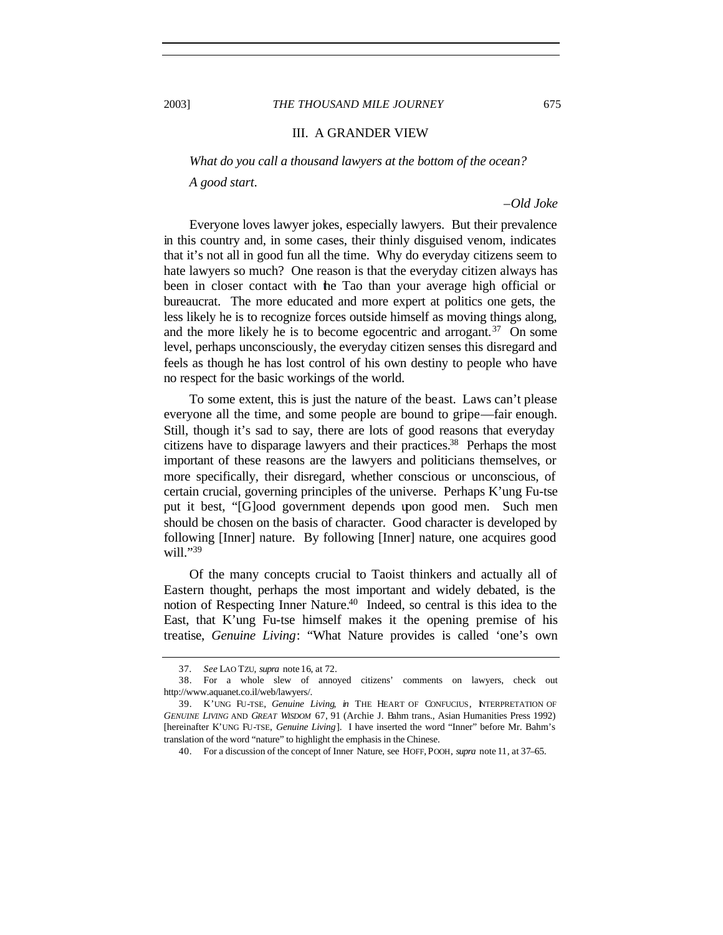## 2003] *THE THOUSAND MILE JOURNEY* 675

#### III. A GRANDER VIEW

*What do you call a thousand lawyers at the bottom of the ocean? A good start*.

# *–Old Joke*

Everyone loves lawyer jokes, especially lawyers. But their prevalence in this country and, in some cases, their thinly disguised venom, indicates that it's not all in good fun all the time. Why do everyday citizens seem to hate lawyers so much? One reason is that the everyday citizen always has been in closer contact with the Tao than your average high official or bureaucrat. The more educated and more expert at politics one gets, the less likely he is to recognize forces outside himself as moving things along, and the more likely he is to become egocentric and arrogant.<sup>37</sup> On some level, perhaps unconsciously, the everyday citizen senses this disregard and feels as though he has lost control of his own destiny to people who have no respect for the basic workings of the world.

To some extent, this is just the nature of the beast. Laws can't please everyone all the time, and some people are bound to gripe—fair enough. Still, though it's sad to say, there are lots of good reasons that everyday citizens have to disparage lawyers and their practices.<sup>38</sup> Perhaps the most important of these reasons are the lawyers and politicians themselves, or more specifically, their disregard, whether conscious or unconscious, of certain crucial, governing principles of the universe. Perhaps K'ung Fu-tse put it best, "[G]ood government depends upon good men. Such men should be chosen on the basis of character. Good character is developed by following [Inner] nature. By following [Inner] nature, one acquires good will."39

Of the many concepts crucial to Taoist thinkers and actually all of Eastern thought, perhaps the most important and widely debated, is the notion of Respecting Inner Nature.<sup>40</sup> Indeed, so central is this idea to the East, that K'ung Fu-tse himself makes it the opening premise of his treatise, *Genuine Living*: "What Nature provides is called 'one's own

<sup>37</sup>*. See* LAO TZU, *supra* note 16, at 72.

<sup>38.</sup> For a whole slew of annoyed citizens' comments on lawyers, check out http://www.aquanet.co.il/web/lawyers/.

<sup>39.</sup> K'UNG FU-TSE, *Genuine Living*, *in* THE HEART OF CONFUCIUS, INTERPRETATION OF *GENUINE LIVING* AND *GREAT WISDOM* 67, 91 (Archie J. Bahm trans., Asian Humanities Press 1992) [hereinafter K'UNG FU-TSE, *Genuine Living*]. I have inserted the word "Inner" before Mr. Bahm's translation of the word "nature" to highlight the emphasis in the Chinese.

<sup>40.</sup> For a discussion of the concept of Inner Nature, see HOFF, POOH, *supra* note 11, at 37–65.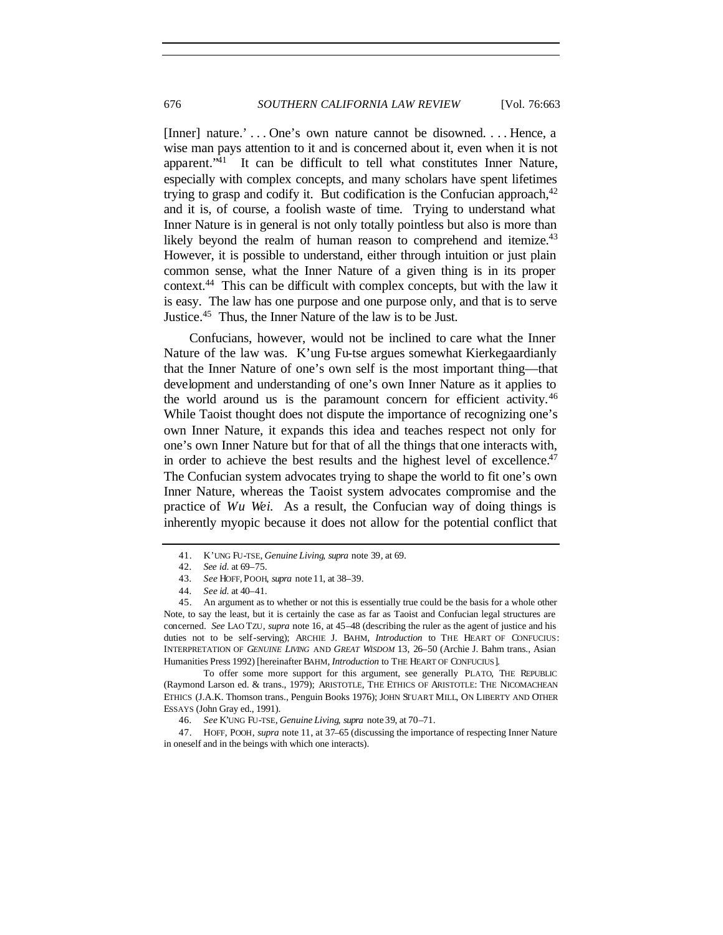[Inner] nature.'...One's own nature cannot be disowned....Hence, a wise man pays attention to it and is concerned about it, even when it is not apparent."<sup>41</sup> It can be difficult to tell what constitutes Inner Nature, especially with complex concepts, and many scholars have spent lifetimes trying to grasp and codify it. But codification is the Confucian approach, $42$ and it is, of course, a foolish waste of time. Trying to understand what Inner Nature is in general is not only totally pointless but also is more than likely beyond the realm of human reason to comprehend and itemize.<sup>43</sup> However, it is possible to understand, either through intuition or just plain common sense, what the Inner Nature of a given thing is in its proper context.<sup>44</sup> This can be difficult with complex concepts, but with the law it is easy. The law has one purpose and one purpose only, and that is to serve Justice.<sup>45</sup> Thus, the Inner Nature of the law is to be Just.

Confucians, however, would not be inclined to care what the Inner Nature of the law was. K'ung Fu-tse argues somewhat Kierkegaardianly that the Inner Nature of one's own self is the most important thing—that development and understanding of one's own Inner Nature as it applies to the world around us is the paramount concern for efficient activity.<sup>46</sup> While Taoist thought does not dispute the importance of recognizing one's own Inner Nature, it expands this idea and teaches respect not only for one's own Inner Nature but for that of all the things that one interacts with, in order to achieve the best results and the highest level of excellence.<sup>47</sup> The Confucian system advocates trying to shape the world to fit one's own Inner Nature, whereas the Taoist system advocates compromise and the practice of *Wu Wei*. As a result, the Confucian way of doing things is inherently myopic because it does not allow for the potential conflict that

To offer some more support for this argument, see generally PLATO, THE REPUBLIC (Raymond Larson ed. & trans., 1979); ARISTOTLE, THE ETHICS OF ARISTOTLE: THE NICOMACHEAN ETHICS (J.A.K. Thomson trans., Penguin Books 1976); JOHN STUART MILL, ON LIBERTY AND OTHER ESSAYS (John Gray ed., 1991).

47. HOFF, POOH, *supra* note 11, at 37–65 (discussing the importance of respecting Inner Nature in oneself and in the beings with which one interacts).

<sup>41.</sup> K'UNG FU-TSE, *Genuine Living*, *supra* note 39, at 69.

<sup>42</sup>*. See id*. at 69–75.

<sup>43</sup>*. See* HOFF, POOH, *supra* note 11, at 38–39.

<sup>44</sup>*. See id*. at 40–41.

<sup>45.</sup> An argument as to whether or not this is essentially true could be the basis for a whole other Note, to say the least, but it is certainly the case as far as Taoist and Confucian legal structures are concerned. *See* LAO TZU, *supra* note 16, at 45–48 (describing the ruler as the agent of justice and his duties not to be self-serving); ARCHIE J. BAHM, *Introduction* to THE HEART OF CONFUCIUS: INTERPRETATION OF *GENUINE LIVING* AND *GREAT WISDOM* 13, 26–50 (Archie J. Bahm trans., Asian Humanities Press 1992) [hereinafter BAHM, *Introduction* to THE HEART OF CONFUCIUS].

<sup>46</sup>*. See* K'UNG FU-TSE, *Genuine Living*, *supra* note 39, at 70–71.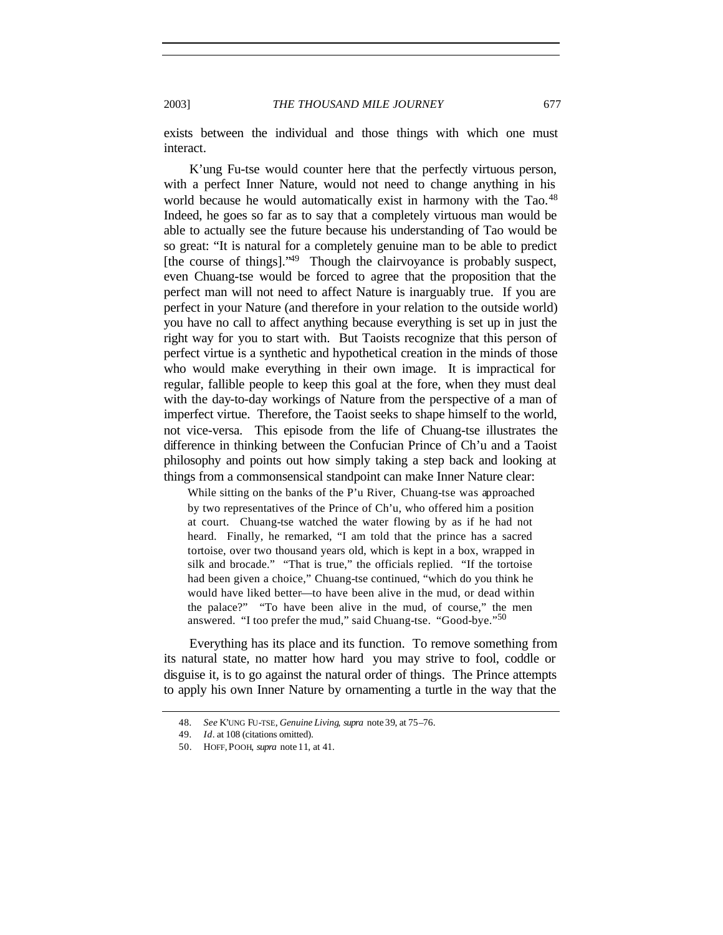2003] *THE THOUSAND MILE JOURNEY* 677

exists between the individual and those things with which one must interact.

K'ung Fu-tse would counter here that the perfectly virtuous person, with a perfect Inner Nature, would not need to change anything in his world because he would automatically exist in harmony with the Tao.<sup>48</sup> Indeed, he goes so far as to say that a completely virtuous man would be able to actually see the future because his understanding of Tao would be so great: "It is natural for a completely genuine man to be able to predict [the course of things]."<sup>49</sup> Though the clairvoyance is probably suspect, even Chuang-tse would be forced to agree that the proposition that the perfect man will not need to affect Nature is inarguably true. If you are perfect in your Nature (and therefore in your relation to the outside world) you have no call to affect anything because everything is set up in just the right way for you to start with. But Taoists recognize that this person of perfect virtue is a synthetic and hypothetical creation in the minds of those who would make everything in their own image. It is impractical for regular, fallible people to keep this goal at the fore, when they must deal with the day-to-day workings of Nature from the perspective of a man of imperfect virtue. Therefore, the Taoist seeks to shape himself to the world, not vice-versa. This episode from the life of Chuang-tse illustrates the difference in thinking between the Confucian Prince of Ch'u and a Taoist philosophy and points out how simply taking a step back and looking at things from a commonsensical standpoint can make Inner Nature clear:

While sitting on the banks of the P'u River, Chuang-tse was approached by two representatives of the Prince of Ch'u, who offered him a position at court. Chuang-tse watched the water flowing by as if he had not heard. Finally, he remarked, "I am told that the prince has a sacred tortoise, over two thousand years old, which is kept in a box, wrapped in silk and brocade." "That is true," the officials replied. "If the tortoise had been given a choice," Chuang-tse continued, "which do you think he would have liked better—to have been alive in the mud, or dead within the palace?" "To have been alive in the mud, of course," the men answered. "I too prefer the mud," said Chuang-tse. "Good-bye."<sup>50</sup>

Everything has its place and its function. To remove something from its natural state, no matter how hard you may strive to fool, coddle or disguise it, is to go against the natural order of things. The Prince attempts to apply his own Inner Nature by ornamenting a turtle in the way that the

<sup>48</sup>*. See* K'UNG FU-TSE, *Genuine Living*, *supra* note 39, at 75–76.

<sup>49</sup>*. Id*. at 108 (citations omitted).

<sup>50.</sup> HOFF, POOH, *supra* note 11, at 41.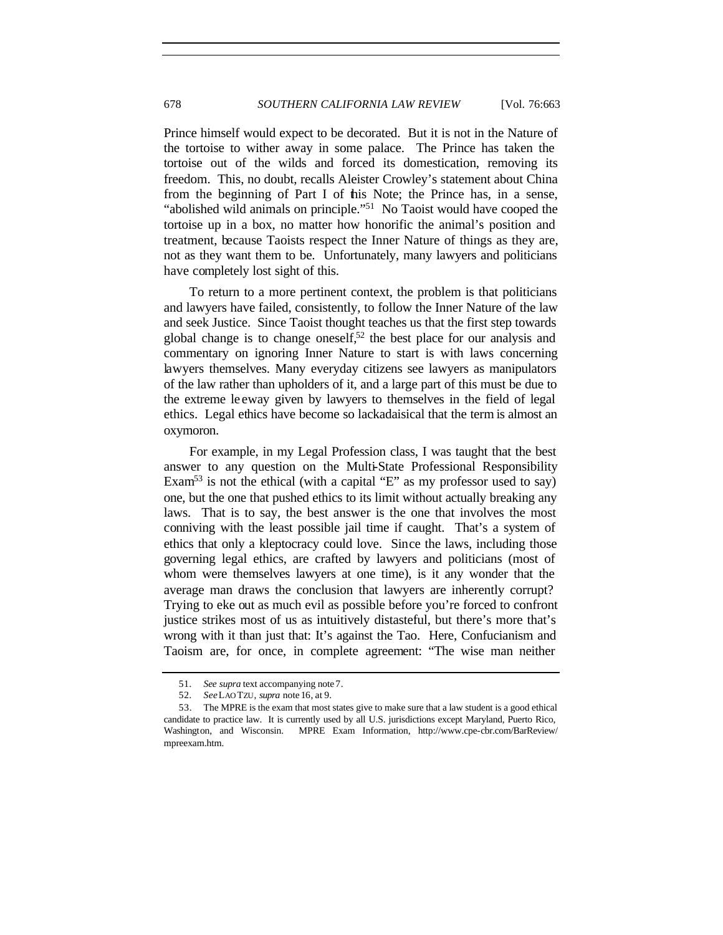Prince himself would expect to be decorated. But it is not in the Nature of the tortoise to wither away in some palace. The Prince has taken the tortoise out of the wilds and forced its domestication, removing its freedom. This, no doubt, recalls Aleister Crowley's statement about China from the beginning of Part I of this Note; the Prince has, in a sense, "abolished wild animals on principle."<sup>51</sup> No Taoist would have cooped the tortoise up in a box, no matter how honorific the animal's position and treatment, because Taoists respect the Inner Nature of things as they are, not as they want them to be. Unfortunately, many lawyers and politicians have completely lost sight of this.

To return to a more pertinent context, the problem is that politicians and lawyers have failed, consistently, to follow the Inner Nature of the law and seek Justice. Since Taoist thought teaches us that the first step towards global change is to change oneself,<sup>52</sup> the best place for our analysis and commentary on ignoring Inner Nature to start is with laws concerning lawyers themselves. Many everyday citizens see lawyers as manipulators of the law rather than upholders of it, and a large part of this must be due to the extreme le eway given by lawyers to themselves in the field of legal ethics. Legal ethics have become so lackadaisical that the term is almost an oxymoron.

For example, in my Legal Profession class, I was taught that the best answer to any question on the Multi-State Professional Responsibility Exam<sup>53</sup> is not the ethical (with a capital "E" as my professor used to say) one, but the one that pushed ethics to its limit without actually breaking any laws. That is to say, the best answer is the one that involves the most conniving with the least possible jail time if caught. That's a system of ethics that only a kleptocracy could love. Since the laws, including those governing legal ethics, are crafted by lawyers and politicians (most of whom were themselves lawyers at one time), is it any wonder that the average man draws the conclusion that lawyers are inherently corrupt? Trying to eke out as much evil as possible before you're forced to confront justice strikes most of us as intuitively distasteful, but there's more that's wrong with it than just that: It's against the Tao. Here, Confucianism and Taoism are, for once, in complete agreement: "The wise man neither

<sup>51</sup>*. See supra* text accompanying note 7.

<sup>52</sup>*. See*LAO TZU, *supra* note 16, at 9.

<sup>53.</sup> The MPRE is the exam that most states give to make sure that a law student is a good ethical candidate to practice law. It is currently used by all U.S. jurisdictions except Maryland, Puerto Rico, Washington, and Wisconsin. MPRE Exam Information, http://www.cpe-cbr.com/BarReview/ mpreexam.htm.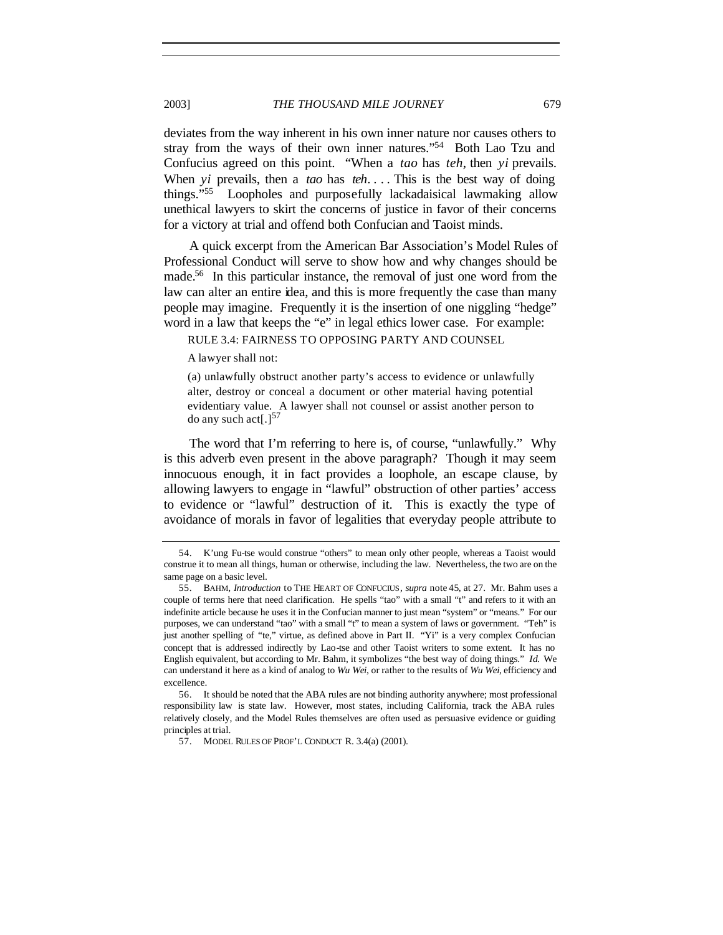## 2003] *THE THOUSAND MILE JOURNEY* 679

deviates from the way inherent in his own inner nature nor causes others to stray from the ways of their own inner natures."<sup>54</sup> Both Lao Tzu and Confucius agreed on this point. "When a *tao* has *teh*, then *yi* prevails. When *yi* prevails, then a *tao* has *teh*.... This is the best way of doing things."<sup>55</sup> Loopholes and purposefully lackadaisical lawmaking allow unethical lawyers to skirt the concerns of justice in favor of their concerns for a victory at trial and offend both Confucian and Taoist minds.

A quick excerpt from the American Bar Association's Model Rules of Professional Conduct will serve to show how and why changes should be made.<sup>56</sup> In this particular instance, the removal of just one word from the law can alter an entire idea, and this is more frequently the case than many people may imagine. Frequently it is the insertion of one niggling "hedge" word in a law that keeps the "e" in legal ethics lower case. For example:

# RULE 3.4: FAIRNESS TO OPPOSING PARTY AND COUNSEL

A lawyer shall not:

(a) unlawfully obstruct another party's access to evidence or unlawfully alter, destroy or conceal a document or other material having potential evidentiary value. A lawyer shall not counsel or assist another person to do any such act[.] $57$ 

The word that I'm referring to here is, of course, "unlawfully." Why is this adverb even present in the above paragraph? Though it may seem innocuous enough, it in fact provides a loophole, an escape clause, by allowing lawyers to engage in "lawful" obstruction of other parties' access to evidence or "lawful" destruction of it. This is exactly the type of avoidance of morals in favor of legalities that everyday people attribute to

<sup>54.</sup> K'ung Fu-tse would construe "others" to mean only other people, whereas a Taoist would construe it to mean all things, human or otherwise, including the law. Nevertheless, the two are on the same page on a basic level.

<sup>55.</sup> BAHM, *Introduction* to THE HEART OF CONFUCIUS, *supra* note 45, at 27. Mr. Bahm uses a couple of terms here that need clarification. He spells "tao" with a small "t" and refers to it with an indefinite article because he uses it in the Confucian manner to just mean "system" or "means." For our purposes, we can understand "tao" with a small "t" to mean a system of laws or government. "Teh" is just another spelling of "te," virtue, as defined above in Part II. "Yi" is a very complex Confucian concept that is addressed indirectly by Lao-tse and other Taoist writers to some extent. It has no English equivalent, but according to Mr. Bahm, it symbolizes "the best way of doing things." *Id*. We can understand it here as a kind of analog to *Wu Wei*, or rather to the results of *Wu Wei*, efficiency and excellence.

<sup>56.</sup> It should be noted that the ABA rules are not binding authority anywhere; most professional responsibility law is state law. However, most states, including California, track the ABA rules relatively closely, and the Model Rules themselves are often used as persuasive evidence or guiding principles at trial.

<sup>57.</sup> MODEL RULES OF PROF'L CONDUCT R. 3.4(a) (2001).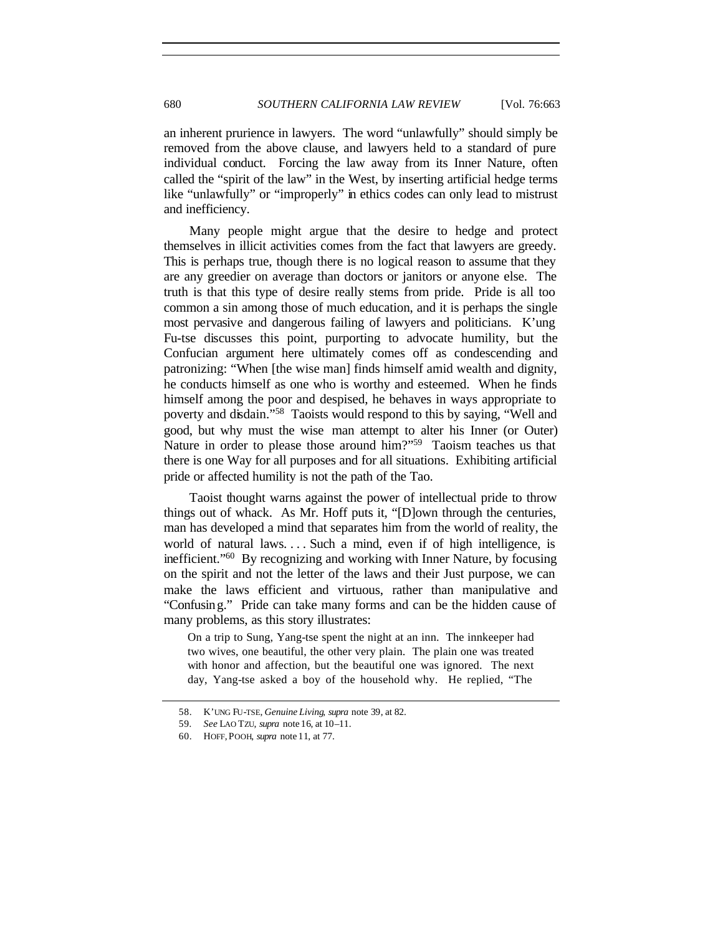an inherent prurience in lawyers. The word "unlawfully" should simply be removed from the above clause, and lawyers held to a standard of pure individual conduct. Forcing the law away from its Inner Nature, often called the "spirit of the law" in the West, by inserting artificial hedge terms like "unlawfully" or "improperly" in ethics codes can only lead to mistrust and inefficiency.

Many people might argue that the desire to hedge and protect themselves in illicit activities comes from the fact that lawyers are greedy. This is perhaps true, though there is no logical reason to assume that they are any greedier on average than doctors or janitors or anyone else. The truth is that this type of desire really stems from pride. Pride is all too common a sin among those of much education, and it is perhaps the single most pervasive and dangerous failing of lawyers and politicians. K'ung Fu-tse discusses this point, purporting to advocate humility, but the Confucian argument here ultimately comes off as condescending and patronizing: "When [the wise man] finds himself amid wealth and dignity, he conducts himself as one who is worthy and esteemed. When he finds himself among the poor and despised, he behaves in ways appropriate to poverty and disdain."<sup>58</sup> Taoists would respond to this by saying, "Well and good, but why must the wise man attempt to alter his Inner (or Outer) Nature in order to please those around him?"<sup>59</sup> Taoism teaches us that there is one Way for all purposes and for all situations. Exhibiting artificial pride or affected humility is not the path of the Tao.

Taoist thought warns against the power of intellectual pride to throw things out of whack. As Mr. Hoff puts it, "[D]own through the centuries, man has developed a mind that separates him from the world of reality, the world of natural laws. . . . Such a mind, even if of high intelligence, is inefficient."<sup>60</sup> By recognizing and working with Inner Nature, by focusing on the spirit and not the letter of the laws and their Just purpose, we can make the laws efficient and virtuous, rather than manipulative and "Confusing." Pride can take many forms and can be the hidden cause of many problems, as this story illustrates:

On a trip to Sung, Yang-tse spent the night at an inn. The innkeeper had two wives, one beautiful, the other very plain. The plain one was treated with honor and affection, but the beautiful one was ignored. The next day, Yang-tse asked a boy of the household why. He replied, "The

<sup>58.</sup> K'UNG FU-TSE, *Genuine Living*, *supra* note 39, at 82.

<sup>59</sup>*. See* LAO TZU, *supra* note 16, at 10–11.

<sup>60.</sup> HOFF, POOH, *supra* note 11, at 77.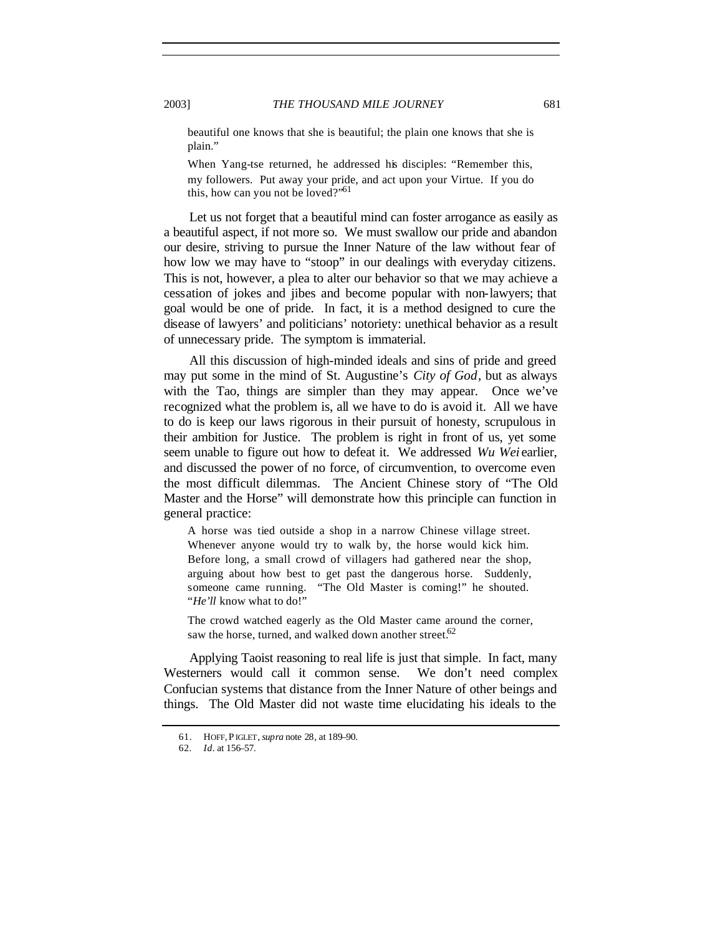beautiful one knows that she is beautiful; the plain one knows that she is plain."

When Yang-tse returned, he addressed his disciples: "Remember this, my followers. Put away your pride, and act upon your Virtue. If you do this, how can you not be loved?"<sup>61</sup>

Let us not forget that a beautiful mind can foster arrogance as easily as a beautiful aspect, if not more so. We must swallow our pride and abandon our desire, striving to pursue the Inner Nature of the law without fear of how low we may have to "stoop" in our dealings with everyday citizens. This is not, however, a plea to alter our behavior so that we may achieve a cessation of jokes and jibes and become popular with non-lawyers; that goal would be one of pride. In fact, it is a method designed to cure the disease of lawyers' and politicians' notoriety: unethical behavior as a result of unnecessary pride. The symptom is immaterial.

All this discussion of high-minded ideals and sins of pride and greed may put some in the mind of St. Augustine's *City of God*, but as always with the Tao, things are simpler than they may appear. Once we've recognized what the problem is, all we have to do is avoid it. All we have to do is keep our laws rigorous in their pursuit of honesty, scrupulous in their ambition for Justice. The problem is right in front of us, yet some seem unable to figure out how to defeat it. We addressed *Wu Wei* earlier, and discussed the power of no force, of circumvention, to overcome even the most difficult dilemmas. The Ancient Chinese story of "The Old Master and the Horse" will demonstrate how this principle can function in general practice:

A horse was tied outside a shop in a narrow Chinese village street. Whenever anyone would try to walk by, the horse would kick him. Before long, a small crowd of villagers had gathered near the shop, arguing about how best to get past the dangerous horse. Suddenly, someone came running. "The Old Master is coming!" he shouted. "*He'll* know what to do!"

The crowd watched eagerly as the Old Master came around the corner, saw the horse, turned, and walked down another street.<sup>62</sup>

Applying Taoist reasoning to real life is just that simple. In fact, many Westerners would call it common sense. We don't need complex Confucian systems that distance from the Inner Nature of other beings and things. The Old Master did not waste time elucidating his ideals to the

<sup>61.</sup> HOFF, P IGLET, *supra* note 28, at 189–90.

<sup>62</sup>*. Id*. at 156–57.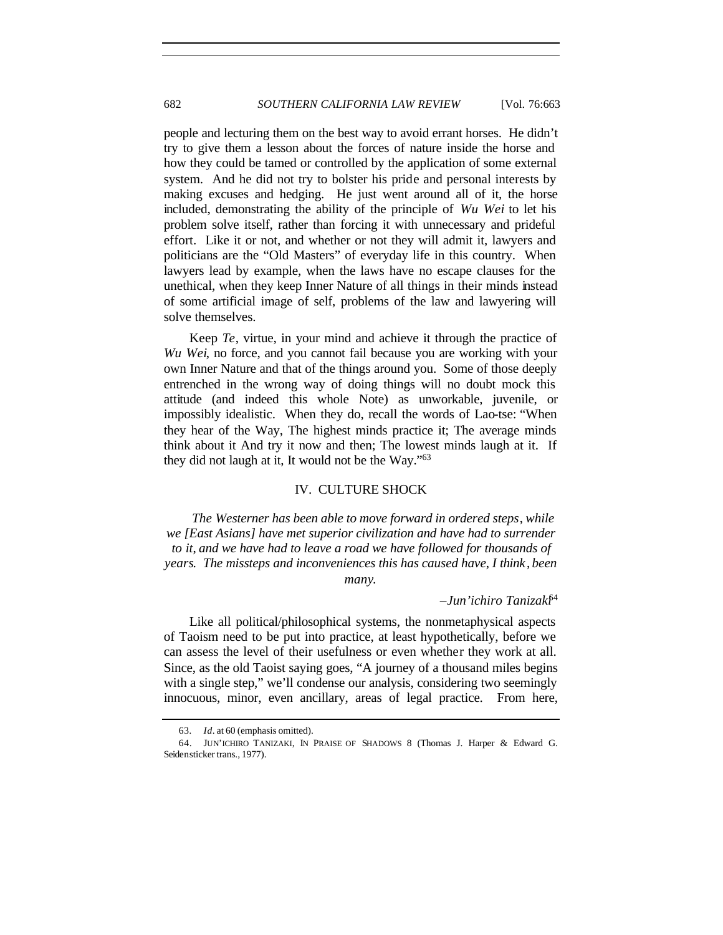people and lecturing them on the best way to avoid errant horses. He didn't try to give them a lesson about the forces of nature inside the horse and how they could be tamed or controlled by the application of some external system. And he did not try to bolster his pride and personal interests by making excuses and hedging. He just went around all of it, the horse included, demonstrating the ability of the principle of *Wu Wei* to let his problem solve itself, rather than forcing it with unnecessary and prideful effort. Like it or not, and whether or not they will admit it, lawyers and politicians are the "Old Masters" of everyday life in this country. When lawyers lead by example, when the laws have no escape clauses for the unethical, when they keep Inner Nature of all things in their minds instead of some artificial image of self, problems of the law and lawyering will solve themselves.

Keep *Te*, virtue, in your mind and achieve it through the practice of *Wu Wei*, no force, and you cannot fail because you are working with your own Inner Nature and that of the things around you. Some of those deeply entrenched in the wrong way of doing things will no doubt mock this attitude (and indeed this whole Note) as unworkable, juvenile, or impossibly idealistic. When they do, recall the words of Lao-tse: "When they hear of the Way, The highest minds practice it; The average minds think about it And try it now and then; The lowest minds laugh at it. If they did not laugh at it, It would not be the Way."<sup>63</sup>

#### IV. CULTURE SHOCK

*The Westerner has been able to move forward in ordered steps*, *while we [East Asians] have met superior civilization and have had to surrender to it*, *and we have had to leave a road we have followed for thousands of years*. *The missteps and inconveniences this has caused have*, *I think* , *been* 

*many*.

#### *–Jun'ichiro Tanizaki*<sup>64</sup>

Like all political/philosophical systems, the nonmetaphysical aspects of Taoism need to be put into practice, at least hypothetically, before we can assess the level of their usefulness or even whether they work at all. Since, as the old Taoist saying goes, "A journey of a thousand miles begins with a single step," we'll condense our analysis, considering two seemingly innocuous, minor, even ancillary, areas of legal practice. From here,

<sup>63</sup>*. Id*. at 60 (emphasis omitted).

<sup>64.</sup> JUN'ICHIRO TANIZAKI, IN PRAISE OF SHADOWS 8 (Thomas J. Harper & Edward G. Seidensticker trans., 1977).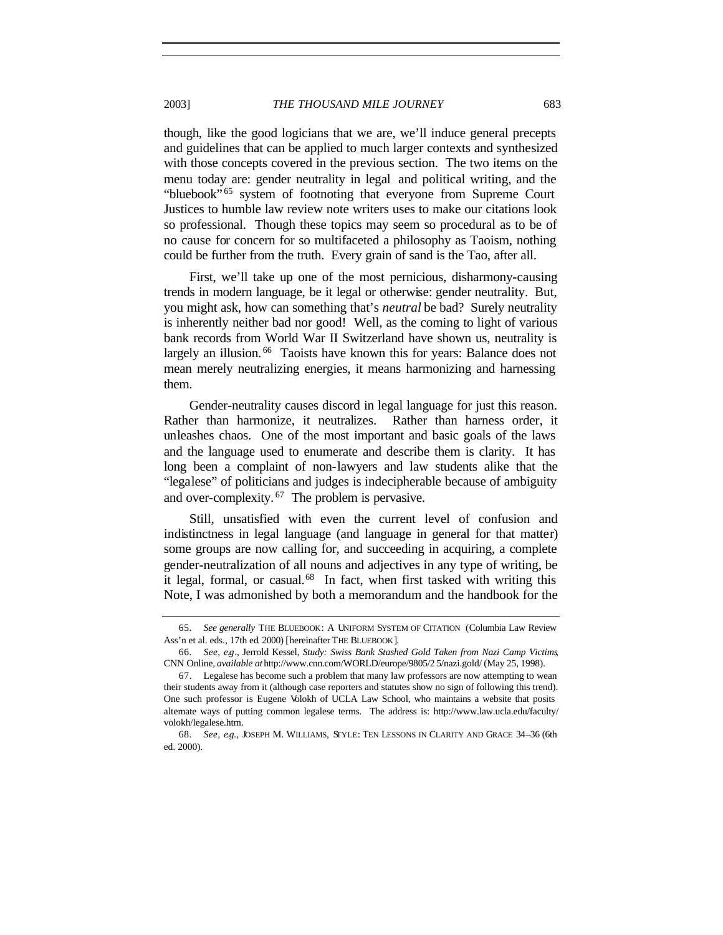though, like the good logicians that we are, we'll induce general precepts and guidelines that can be applied to much larger contexts and synthesized with those concepts covered in the previous section. The two items on the menu today are: gender neutrality in legal and political writing, and the "bluebook"<sup>65</sup> system of footnoting that everyone from Supreme Court Justices to humble law review note writers uses to make our citations look so professional. Though these topics may seem so procedural as to be of no cause for concern for so multifaceted a philosophy as Taoism, nothing could be further from the truth. Every grain of sand is the Tao, after all.

First, we'll take up one of the most pernicious, disharmony-causing trends in modern language, be it legal or otherwise: gender neutrality. But, you might ask, how can something that's *neutral* be bad? Surely neutrality is inherently neither bad nor good! Well, as the coming to light of various bank records from World War II Switzerland have shown us, neutrality is largely an illusion.<sup>66</sup> Taoists have known this for years: Balance does not mean merely neutralizing energies, it means harmonizing and harnessing them.

Gender-neutrality causes discord in legal language for just this reason. Rather than harmonize, it neutralizes. Rather than harness order, it unleashes chaos. One of the most important and basic goals of the laws and the language used to enumerate and describe them is clarity. It has long been a complaint of non-lawyers and law students alike that the "legalese" of politicians and judges is indecipherable because of ambiguity and over-complexity.<sup>67</sup> The problem is pervasive.

Still, unsatisfied with even the current level of confusion and indistinctness in legal language (and language in general for that matter) some groups are now calling for, and succeeding in acquiring, a complete gender-neutralization of all nouns and adjectives in any type of writing, be it legal, formal, or casual. $68$  In fact, when first tasked with writing this Note, I was admonished by both a memorandum and the handbook for the

<sup>65</sup>*. See generally* THE BLUEBOOK: A UNIFORM SYSTEM OF CITATION (Columbia Law Review Ass'n et al. eds., 17th ed. 2000) [hereinafter THE BLUEBOOK].

<sup>66</sup>*. See, e*.*g*., Jerrold Kessel, *Study: Swiss Bank Stashed Gold Taken from Nazi Camp Victims*, CNN Online, *available at* http://www.cnn.com/WORLD/europe/9805/2 5/nazi.gold/ (May 25, 1998).

<sup>67.</sup> Legalese has become such a problem that many law professors are now attempting to wean their students away from it (although case reporters and statutes show no sign of following this trend). One such professor is Eugene Volokh of UCLA Law School, who maintains a website that posits alternate ways of putting common legalese terms. The address is: http://www.law.ucla.edu/faculty/ volokh/legalese.htm.

<sup>68</sup>*. See, e*.*g*., JOSEPH M. WILLIAMS, STYLE: TEN LESSONS IN CLARITY AND GRACE 34–36 (6th ed. 2000).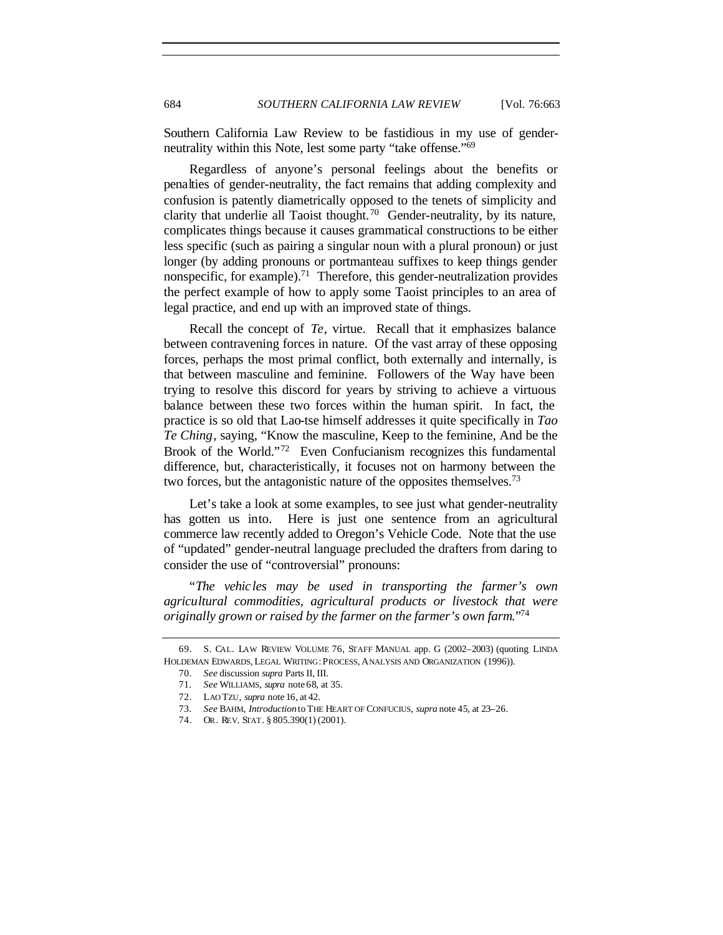Southern California Law Review to be fastidious in my use of genderneutrality within this Note, lest some party "take offense."<sup>69</sup>

Regardless of anyone's personal feelings about the benefits or penalties of gender-neutrality, the fact remains that adding complexity and confusion is patently diametrically opposed to the tenets of simplicity and clarity that underlie all Taoist thought.<sup>70</sup> Gender-neutrality, by its nature, complicates things because it causes grammatical constructions to be either less specific (such as pairing a singular noun with a plural pronoun) or just longer (by adding pronouns or portmanteau suffixes to keep things gender nonspecific, for example).<sup>71</sup> Therefore, this gender-neutralization provides the perfect example of how to apply some Taoist principles to an area of legal practice, and end up with an improved state of things.

Recall the concept of *Te*, virtue. Recall that it emphasizes balance between contravening forces in nature. Of the vast array of these opposing forces, perhaps the most primal conflict, both externally and internally, is that between masculine and feminine. Followers of the Way have been trying to resolve this discord for years by striving to achieve a virtuous balance between these two forces within the human spirit. In fact, the practice is so old that Lao-tse himself addresses it quite specifically in *Tao Te Ching*, saying, "Know the masculine, Keep to the feminine, And be the Brook of the World."<sup>72</sup> Even Confucianism recognizes this fundamental difference, but, characteristically, it focuses not on harmony between the two forces, but the antagonistic nature of the opposites themselves.<sup>73</sup>

Let's take a look at some examples, to see just what gender-neutrality has gotten us into. Here is just one sentence from an agricultural commerce law recently added to Oregon's Vehicle Code. Note that the use of "updated" gender-neutral language precluded the drafters from daring to consider the use of "controversial" pronouns:

"*The vehicles may be used in transporting the farmer's own agricultural commodities, agricultural products or livestock that were originally grown or raised by the farmer on the farmer's own farm*."<sup>74</sup>

<sup>69.</sup> S. CAL. LAW REVIEW VOLUME 76, STAFF MANUAL app. G (2002–2003) (quoting LINDA HOLDEMAN EDWARDS, LEGAL WRITING: PROCESS, ANALYSIS AND ORGANIZATION (1996)).

<sup>70</sup>*. See* discussion *supra* Parts II, III.

<sup>71</sup>*. See* WILLIAMS, *supra* note 68, at 35.

<sup>72.</sup> LAO TZU, *supra* note 16, at 42.

<sup>73</sup>*. See* BAHM, *Introduction* to THE HEART OF CONFUCIUS, *supra* note 45, at 23–26.

<sup>74.</sup> OR. REV. STAT. § 805.390(1) (2001).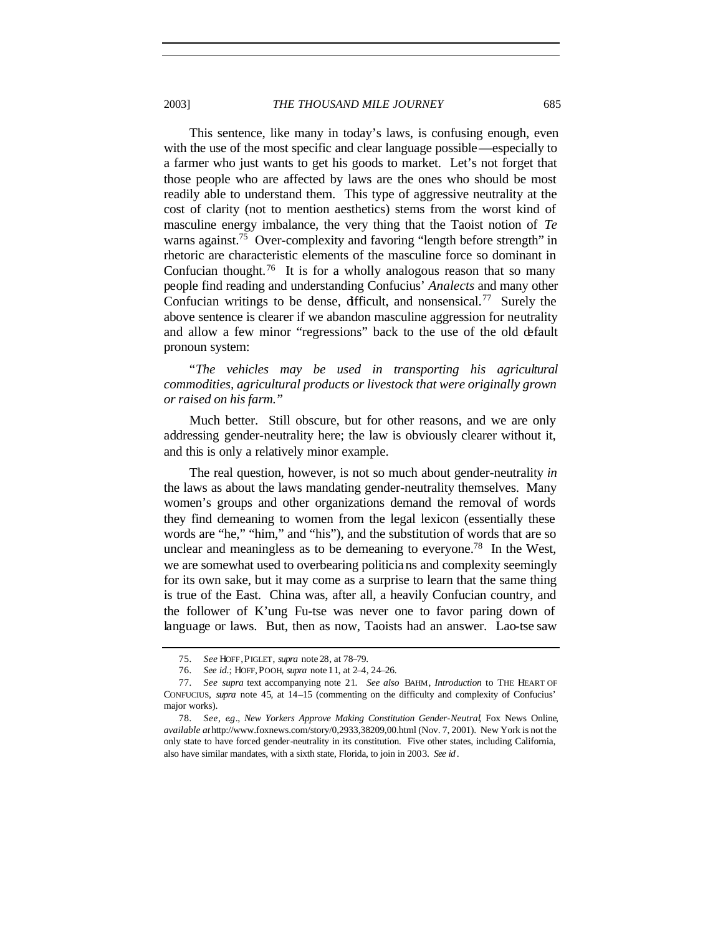2003] *THE THOUSAND MILE JOURNEY* 685

This sentence, like many in today's laws, is confusing enough, even with the use of the most specific and clear language possible—especially to a farmer who just wants to get his goods to market. Let's not forget that those people who are affected by laws are the ones who should be most readily able to understand them. This type of aggressive neutrality at the cost of clarity (not to mention aesthetics) stems from the worst kind of masculine energy imbalance, the very thing that the Taoist notion of *Te* warns against.<sup>75</sup> Over-complexity and favoring "length before strength" in rhetoric are characteristic elements of the masculine force so dominant in Confucian thought.<sup>76</sup> It is for a wholly analogous reason that so many people find reading and understanding Confucius' *Analects* and many other Confucian writings to be dense, difficult, and nonsensical.<sup>77</sup> Surely the above sentence is clearer if we abandon masculine aggression for neutrality and allow a few minor "regressions" back to the use of the old default pronoun system:

"*The vehicles may be used in transporting his agricultural commodities, agricultural products or livestock that were originally grown or raised on his farm.*"

Much better. Still obscure, but for other reasons, and we are only addressing gender-neutrality here; the law is obviously clearer without it, and this is only a relatively minor example.

The real question, however, is not so much about gender-neutrality *in* the laws as about the laws mandating gender-neutrality themselves. Many women's groups and other organizations demand the removal of words they find demeaning to women from the legal lexicon (essentially these words are "he," "him," and "his"), and the substitution of words that are so unclear and meaningless as to be demeaning to everyone.<sup>78</sup> In the West, we are somewhat used to overbearing politicians and complexity seemingly for its own sake, but it may come as a surprise to learn that the same thing is true of the East. China was, after all, a heavily Confucian country, and the follower of K'ung Fu-tse was never one to favor paring down of language or laws. But, then as now, Taoists had an answer. Lao-tse saw

<sup>75</sup>*. See* HOFF, PIGLET, *supra* note 28, at 78–79.

<sup>76</sup>*. See id*.; HOFF, POOH, *supra* note 11, at 2–4, 24–26.

<sup>77</sup>*. See supra* text accompanying note 21. *See also* BAHM, *Introduction* to THE HEART OF CONFUCIUS, *supra* note 45, at 14–15 (commenting on the difficulty and complexity of Confucius' major works).

<sup>78</sup>*. See, e*.*g*., *New Yorkers Approve Making Constitution Gender-Neutral*, Fox News Online, *available at* http://www.foxnews.com/story/0,2933,38209,00.html (Nov. 7, 2001). New York is not the only state to have forced gender-neutrality in its constitution. Five other states, including California, also have similar mandates, with a sixth state, Florida, to join in 2003. *See id* .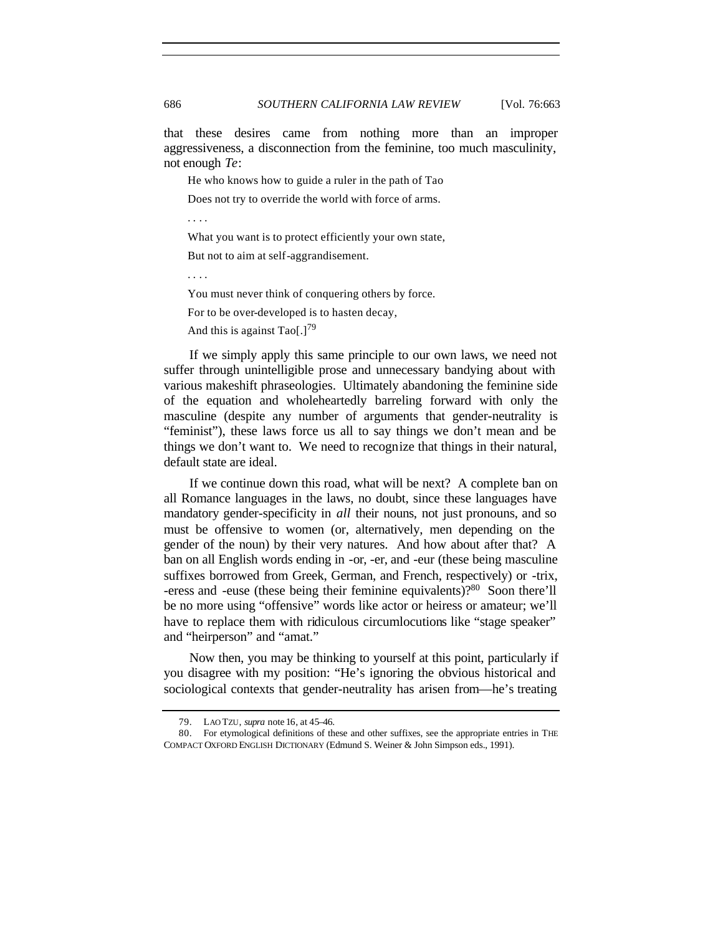that these desires came from nothing more than an improper aggressiveness, a disconnection from the feminine, too much masculinity, not enough *Te*:

He who knows how to guide a ruler in the path of Tao

Does not try to override the world with force of arms.

. . . .

What you want is to protect efficiently your own state,

But not to aim at self-aggrandisement.

. . . .

You must never think of conquering others by force.

For to be over-developed is to hasten decay,

And this is against  $Tao[.]^{79}$ 

If we simply apply this same principle to our own laws, we need not suffer through unintelligible prose and unnecessary bandying about with various makeshift phraseologies. Ultimately abandoning the feminine side of the equation and wholeheartedly barreling forward with only the masculine (despite any number of arguments that gender-neutrality is "feminist"), these laws force us all to say things we don't mean and be things we don't want to. We need to recognize that things in their natural, default state are ideal.

If we continue down this road, what will be next? A complete ban on all Romance languages in the laws, no doubt, since these languages have mandatory gender-specificity in *all* their nouns, not just pronouns, and so must be offensive to women (or, alternatively, men depending on the gender of the noun) by their very natures. And how about after that? A ban on all English words ending in -or, -er, and -eur (these being masculine suffixes borrowed from Greek, German, and French, respectively) or -trix, -eress and -euse (these being their feminine equivalents)?<sup>80</sup> Soon there'll be no more using "offensive" words like actor or heiress or amateur; we'll have to replace them with ridiculous circumlocutions like "stage speaker" and "heirperson" and "amat."

Now then, you may be thinking to yourself at this point, particularly if you disagree with my position: "He's ignoring the obvious historical and sociological contexts that gender-neutrality has arisen from—he's treating

<sup>79.</sup> LAO TZU, *supra* note 16, at 45–46.

<sup>80.</sup> For etymological definitions of these and other suffixes, see the appropriate entries in THE COMPACT OXFORD ENGLISH DICTIONARY (Edmund S. Weiner & John Simpson eds., 1991).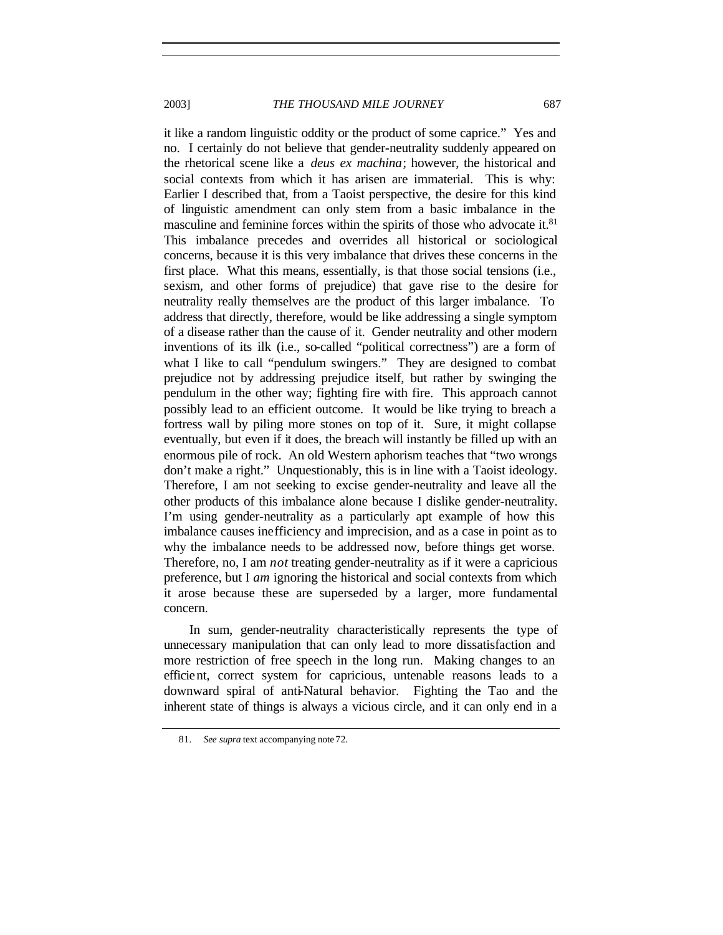2003] *THE THOUSAND MILE JOURNEY* 687

it like a random linguistic oddity or the product of some caprice." Yes and no. I certainly do not believe that gender-neutrality suddenly appeared on the rhetorical scene like a *deus ex machina*; however, the historical and social contexts from which it has arisen are immaterial. This is why: Earlier I described that, from a Taoist perspective, the desire for this kind of linguistic amendment can only stem from a basic imbalance in the masculine and feminine forces within the spirits of those who advocate it.<sup>81</sup> This imbalance precedes and overrides all historical or sociological concerns, because it is this very imbalance that drives these concerns in the first place. What this means, essentially, is that those social tensions (i.e., sexism, and other forms of prejudice) that gave rise to the desire for neutrality really themselves are the product of this larger imbalance. To address that directly, therefore, would be like addressing a single symptom of a disease rather than the cause of it. Gender neutrality and other modern inventions of its ilk (i.e., so-called "political correctness") are a form of what I like to call "pendulum swingers." They are designed to combat prejudice not by addressing prejudice itself, but rather by swinging the pendulum in the other way; fighting fire with fire. This approach cannot possibly lead to an efficient outcome. It would be like trying to breach a fortress wall by piling more stones on top of it. Sure, it might collapse eventually, but even if it does, the breach will instantly be filled up with an enormous pile of rock. An old Western aphorism teaches that "two wrongs don't make a right." Unquestionably, this is in line with a Taoist ideology. Therefore, I am not seeking to excise gender-neutrality and leave all the other products of this imbalance alone because I dislike gender-neutrality. I'm using gender-neutrality as a particularly apt example of how this imbalance causes inefficiency and imprecision, and as a case in point as to why the imbalance needs to be addressed now, before things get worse. Therefore, no, I am *not* treating gender-neutrality as if it were a capricious preference, but I *am* ignoring the historical and social contexts from which it arose because these are superseded by a larger, more fundamental concern.

In sum, gender-neutrality characteristically represents the type of unnecessary manipulation that can only lead to more dissatisfaction and more restriction of free speech in the long run. Making changes to an efficient, correct system for capricious, untenable reasons leads to a downward spiral of anti-Natural behavior. Fighting the Tao and the inherent state of things is always a vicious circle, and it can only end in a

<sup>81</sup>*. See supra* text accompanying note 72.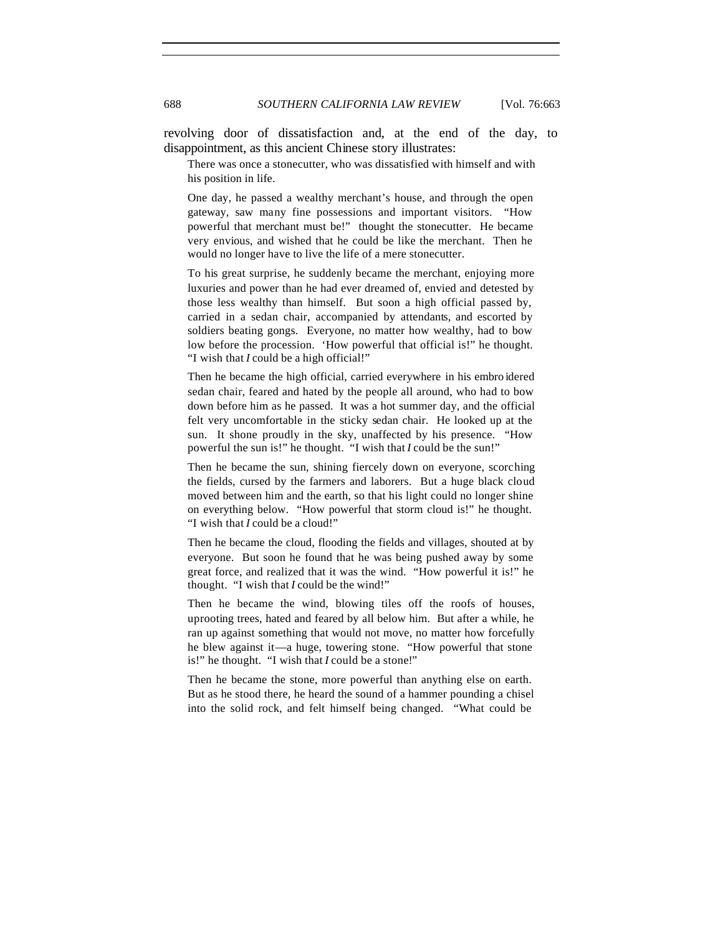revolving door of dissatisfaction and, at the end of the day, to disappointment, as this ancient Chinese story illustrates:

There was once a stonecutter, who was dissatisfied with himself and with his position in life.

One day, he passed a wealthy merchant's house, and through the open gateway, saw many fine possessions and important visitors. "How powerful that merchant must be!" thought the stonecutter. He became very envious, and wished that he could be like the merchant. Then he would no longer have to live the life of a mere stonecutter.

To his great surprise, he suddenly became the merchant, enjoying more luxuries and power than he had ever dreamed of, envied and detested by those less wealthy than himself. But soon a high official passed by, carried in a sedan chair, accompanied by attendants, and escorted by soldiers beating gongs. Everyone, no matter how wealthy, had to bow low before the procession. 'How powerful that official is!" he thought. "I wish that *I* could be a high official!"

Then he became the high official, carried everywhere in his embro idered sedan chair, feared and hated by the people all around, who had to bow down before him as he passed. It was a hot summer day, and the official felt very uncomfortable in the sticky sedan chair. He looked up at the sun. It shone proudly in the sky, unaffected by his presence. "How powerful the sun is!" he thought. "I wish that *I* could be the sun!"

Then he became the sun, shining fiercely down on everyone, scorching the fields, cursed by the farmers and laborers. But a huge black cloud moved between him and the earth, so that his light could no longer shine on everything below. "How powerful that storm cloud is!" he thought. "I wish that *I* could be a cloud!"

Then he became the cloud, flooding the fields and villages, shouted at by everyone. But soon he found that he was being pushed away by some great force, and realized that it was the wind. "How powerful it is!" he thought. "I wish that *I* could be the wind!"

Then he became the wind, blowing tiles off the roofs of houses, uprooting trees, hated and feared by all below him. But after a while, he ran up against something that would not move, no matter how forcefully he blew against it—a huge, towering stone. "How powerful that stone is!" he thought. "I wish that *I* could be a stone!"

Then he became the stone, more powerful than anything else on earth. But as he stood there, he heard the sound of a hammer pounding a chisel into the solid rock, and felt himself being changed. "What could be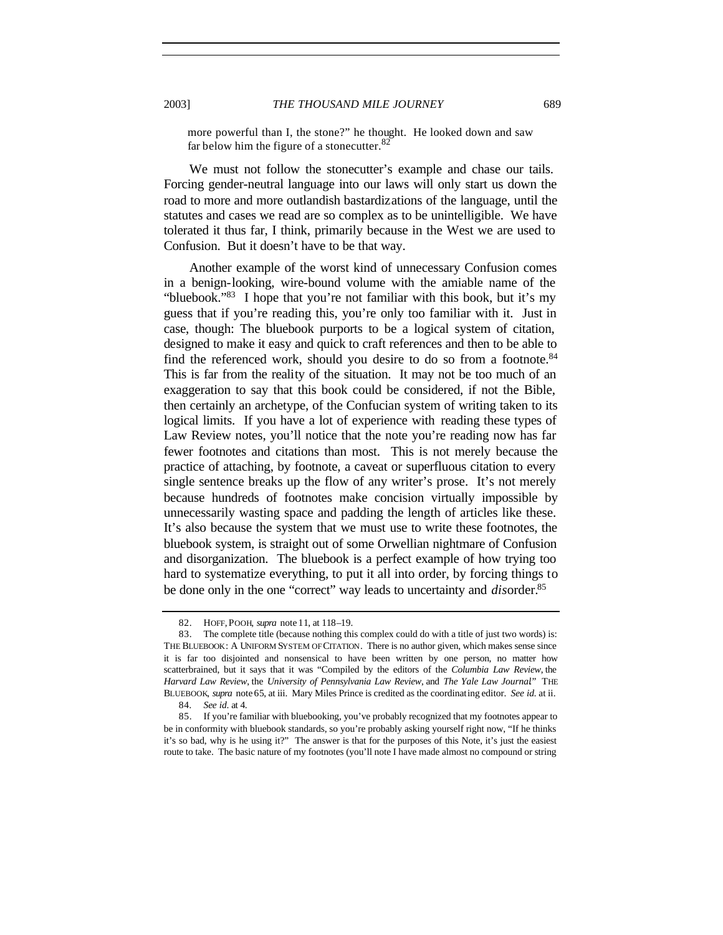more powerful than I, the stone?" he thought. He looked down and saw far below him the figure of a stonecutter.<sup>82</sup>

We must not follow the stonecutter's example and chase our tails. Forcing gender-neutral language into our laws will only start us down the road to more and more outlandish bastardizations of the language, until the statutes and cases we read are so complex as to be unintelligible. We have tolerated it thus far, I think, primarily because in the West we are used to Confusion. But it doesn't have to be that way.

Another example of the worst kind of unnecessary Confusion comes in a benign-looking, wire-bound volume with the amiable name of the "bluebook."<sup>83</sup> I hope that you're not familiar with this book, but it's my guess that if you're reading this, you're only too familiar with it. Just in case, though: The bluebook purports to be a logical system of citation, designed to make it easy and quick to craft references and then to be able to find the referenced work, should you desire to do so from a footnote.<sup>84</sup> This is far from the reality of the situation. It may not be too much of an exaggeration to say that this book could be considered, if not the Bible, then certainly an archetype, of the Confucian system of writing taken to its logical limits. If you have a lot of experience with reading these types of Law Review notes, you'll notice that the note you're reading now has far fewer footnotes and citations than most. This is not merely because the practice of attaching, by footnote, a caveat or superfluous citation to every single sentence breaks up the flow of any writer's prose. It's not merely because hundreds of footnotes make concision virtually impossible by unnecessarily wasting space and padding the length of articles like these. It's also because the system that we must use to write these footnotes, the bluebook system, is straight out of some Orwellian nightmare of Confusion and disorganization. The bluebook is a perfect example of how trying too hard to systematize everything, to put it all into order, by forcing things to be done only in the one "correct" way leads to uncertainty and *dis*order.<sup>85</sup>

<sup>82.</sup> HOFF, POOH, *supra* note 11, at 118–19.

<sup>83.</sup> The complete title (because nothing this complex could do with a title of just two words) is: THE BLUEBOOK: A UNIFORM SYSTEM OF CITATION. There is no author given, which makes sense since it is far too disjointed and nonsensical to have been written by one person, no matter how scatterbrained, but it says that it was "Compiled by the editors of the *Columbia Law Review*, the *Harvard Law Review*, the *University of Pennsylvania Law Review*, and *The Yale Law Journal*." THE BLUEBOOK, *supra* note 65, at iii. Mary Miles Prince is credited as the coordinating editor. *See id.* at ii. 84*. See id*. at 4.

<sup>85.</sup> If you're familiar with bluebooking, you've probably recognized that my footnotes appear to be in conformity with bluebook standards, so you're probably asking yourself right now, "If he thinks it's so bad, why is he using it?" The answer is that for the purposes of this Note, it's just the easiest route to take. The basic nature of my footnotes (you'll note I have made almost no compound or string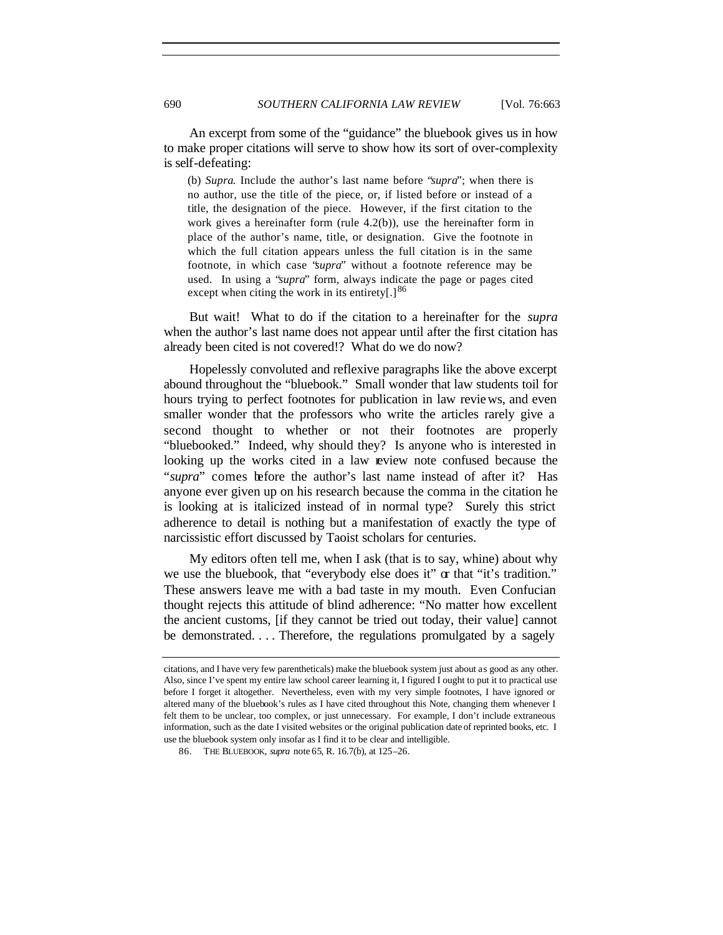An excerpt from some of the "guidance" the bluebook gives us in how to make proper citations will serve to show how its sort of over-complexity is self-defeating:

(b) *Supra*. Include the author's last name before "*supra*"; when there is no author, use the title of the piece, or, if listed before or instead of a title, the designation of the piece. However, if the first citation to the work gives a hereinafter form (rule 4.2(b)), use the hereinafter form in place of the author's name, title, or designation. Give the footnote in which the full citation appears unless the full citation is in the same footnote, in which case "*supra*" without a footnote reference may be used. In using a "*supra*" form, always indicate the page or pages cited except when citing the work in its entirety[.] $86$ 

But wait! What to do if the citation to a hereinafter for the *supra* when the author's last name does not appear until after the first citation has already been cited is not covered!? What do we do now?

Hopelessly convoluted and reflexive paragraphs like the above excerpt abound throughout the "bluebook." Small wonder that law students toil for hours trying to perfect footnotes for publication in law reviews, and even smaller wonder that the professors who write the articles rarely give a second thought to whether or not their footnotes are properly "bluebooked." Indeed, why should they? Is anyone who is interested in looking up the works cited in a law review note confused because the "*supra*" comes before the author's last name instead of after it? Has anyone ever given up on his research because the comma in the citation he is looking at is italicized instead of in normal type? Surely this strict adherence to detail is nothing but a manifestation of exactly the type of narcissistic effort discussed by Taoist scholars for centuries.

My editors often tell me, when I ask (that is to say, whine) about why we use the bluebook, that "everybody else does it" or that "it's tradition." These answers leave me with a bad taste in my mouth. Even Confucian thought rejects this attitude of blind adherence: "No matter how excellent the ancient customs, [if they cannot be tried out today, their value] cannot be demonstrated. . . . Therefore, the regulations promulgated by a sagely

citations, and I have very few parentheticals) make the bluebook system just about as good as any other. Also, since I've spent my entire law school career learning it, I figured I ought to put it to practical use before I forget it altogether. Nevertheless, even with my very simple footnotes, I have ignored or altered many of the bluebook's rules as I have cited throughout this Note, changing them whenever I felt them to be unclear, too complex, or just unnecessary. For example, I don't include extraneous information, such as the date I visited websites or the original publication date of reprinted books, etc. I use the bluebook system only insofar as I find it to be clear and intelligible.

<sup>86.</sup> THE BLUEBOOK, *supra* note 65, R. 16.7(b), at 125–26.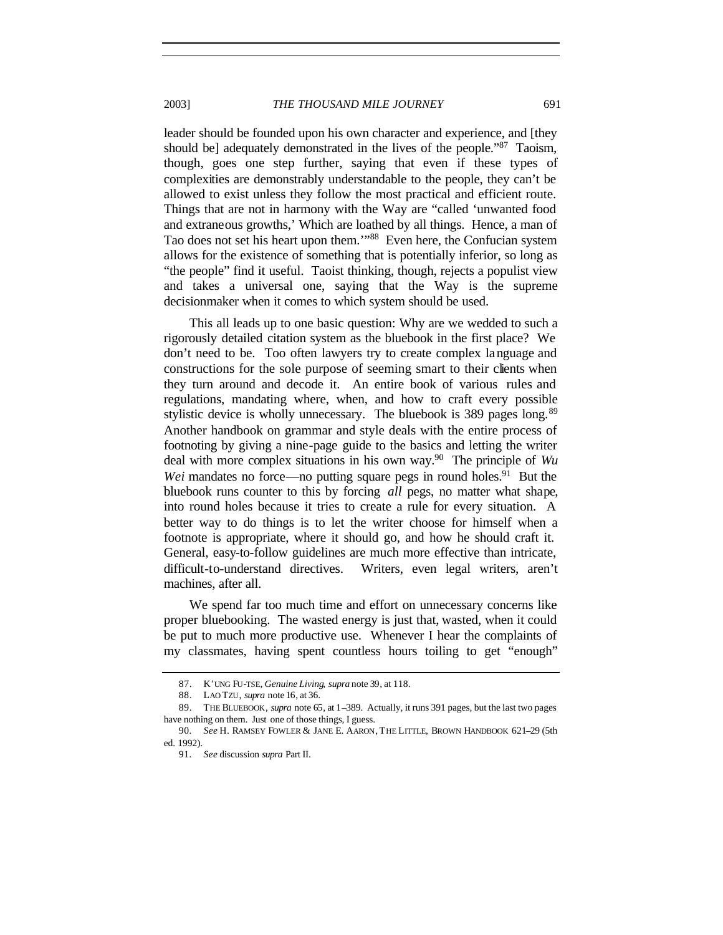#### 2003] *THE THOUSAND MILE JOURNEY* 691

leader should be founded upon his own character and experience, and [they should be] adequately demonstrated in the lives of the people.<sup>87</sup> Taoism, though, goes one step further, saying that even if these types of complexities are demonstrably understandable to the people, they can't be allowed to exist unless they follow the most practical and efficient route. Things that are not in harmony with the Way are "called 'unwanted food and extraneous growths,' Which are loathed by all things. Hence, a man of Tao does not set his heart upon them.'"<sup>88</sup> Even here, the Confucian system allows for the existence of something that is potentially inferior, so long as "the people" find it useful. Taoist thinking, though, rejects a populist view and takes a universal one, saying that the Way is the supreme decisionmaker when it comes to which system should be used.

This all leads up to one basic question: Why are we wedded to such a rigorously detailed citation system as the bluebook in the first place? We don't need to be. Too often lawyers try to create complex language and constructions for the sole purpose of seeming smart to their clients when they turn around and decode it. An entire book of various rules and regulations, mandating where, when, and how to craft every possible stylistic device is wholly unnecessary. The bluebook is 389 pages long.<sup>89</sup> Another handbook on grammar and style deals with the entire process of footnoting by giving a nine-page guide to the basics and letting the writer deal with more complex situations in his own way.<sup>90</sup> The principle of *Wu Wei* mandates no force—no putting square pegs in round holes.<sup>91</sup> But the bluebook runs counter to this by forcing *all* pegs, no matter what shape, into round holes because it tries to create a rule for every situation. A better way to do things is to let the writer choose for himself when a footnote is appropriate, where it should go, and how he should craft it. General, easy-to-follow guidelines are much more effective than intricate, difficult-to-understand directives. Writers, even legal writers, aren't machines, after all.

We spend far too much time and effort on unnecessary concerns like proper bluebooking. The wasted energy is just that, wasted, when it could be put to much more productive use. Whenever I hear the complaints of my classmates, having spent countless hours toiling to get "enough"

<sup>87.</sup> K'UNG FU-TSE, *Genuine Living*, *supra* note 39, at 118.

<sup>88.</sup> LAO TZU, *supra* note 16, at 36.

<sup>89.</sup> THE BLUEBOOK, *supra* note 65, at 1–389. Actually, it runs 391 pages, but the last two pages have nothing on them. Just one of those things, I guess.

<sup>90</sup>*. See* H. RAMSEY FOWLER & JANE E. AARON, THE LITTLE, BROWN HANDBOOK 621–29 (5th ed. 1992).

<sup>91</sup>*. See* discussion *supra* Part II.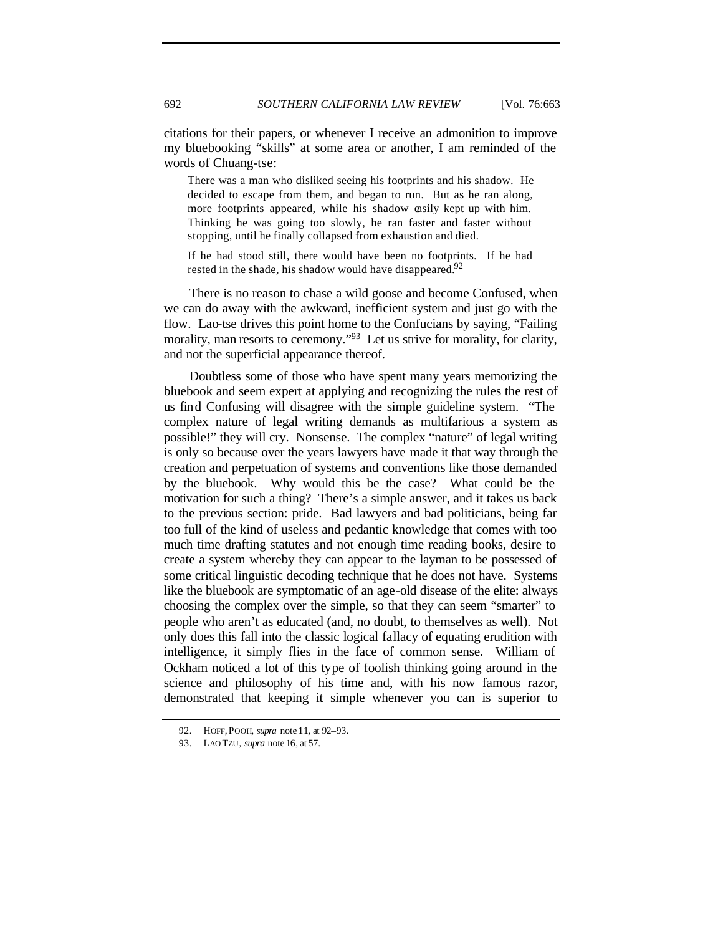citations for their papers, or whenever I receive an admonition to improve my bluebooking "skills" at some area or another, I am reminded of the words of Chuang-tse:

There was a man who disliked seeing his footprints and his shadow. He decided to escape from them, and began to run. But as he ran along, more footprints appeared, while his shadow easily kept up with him. Thinking he was going too slowly, he ran faster and faster without stopping, until he finally collapsed from exhaustion and died.

If he had stood still, there would have been no footprints. If he had rested in the shade, his shadow would have disappeared. $92$ 

There is no reason to chase a wild goose and become Confused, when we can do away with the awkward, inefficient system and just go with the flow. Lao-tse drives this point home to the Confucians by saying, "Failing morality, man resorts to ceremony."<sup>93</sup> Let us strive for morality, for clarity, and not the superficial appearance thereof.

Doubtless some of those who have spent many years memorizing the bluebook and seem expert at applying and recognizing the rules the rest of us find Confusing will disagree with the simple guideline system. "The complex nature of legal writing demands as multifarious a system as possible!" they will cry. Nonsense. The complex "nature" of legal writing is only so because over the years lawyers have made it that way through the creation and perpetuation of systems and conventions like those demanded by the bluebook. Why would this be the case? What could be the motivation for such a thing? There's a simple answer, and it takes us back to the previous section: pride. Bad lawyers and bad politicians, being far too full of the kind of useless and pedantic knowledge that comes with too much time drafting statutes and not enough time reading books, desire to create a system whereby they can appear to the layman to be possessed of some critical linguistic decoding technique that he does not have. Systems like the bluebook are symptomatic of an age-old disease of the elite: always choosing the complex over the simple, so that they can seem "smarter" to people who aren't as educated (and, no doubt, to themselves as well). Not only does this fall into the classic logical fallacy of equating erudition with intelligence, it simply flies in the face of common sense. William of Ockham noticed a lot of this type of foolish thinking going around in the science and philosophy of his time and, with his now famous razor, demonstrated that keeping it simple whenever you can is superior to

<sup>92.</sup> HOFF, POOH, *supra* note 11, at 92–93.

<sup>93.</sup> LAO TZU, *supra* note 16, at 57.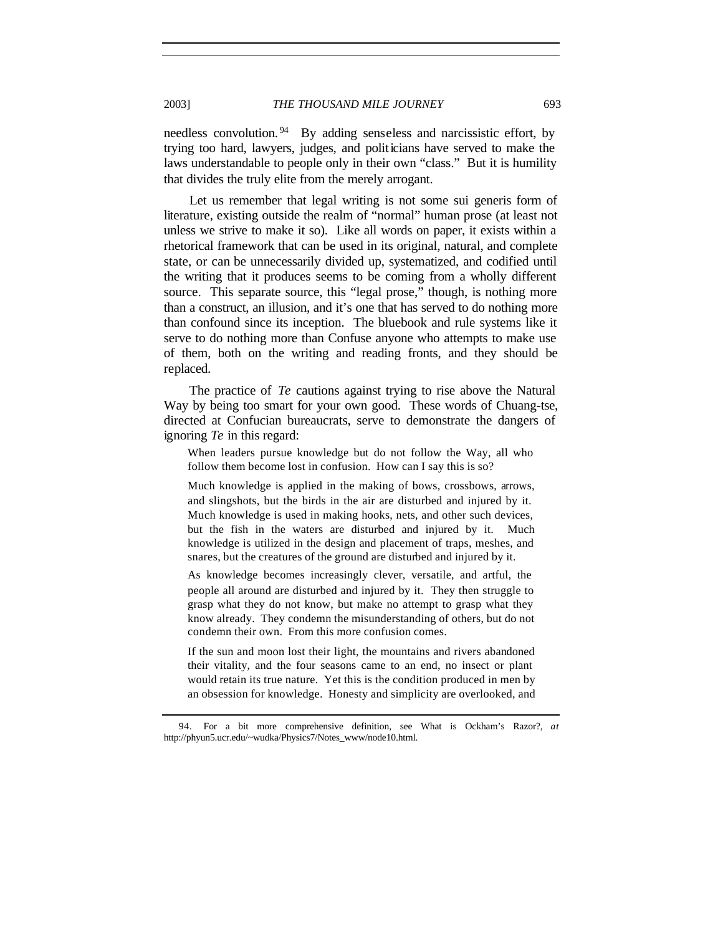needless convolution.<sup>94</sup> By adding senseless and narcissistic effort, by trying too hard, lawyers, judges, and politicians have served to make the laws understandable to people only in their own "class." But it is humility that divides the truly elite from the merely arrogant.

Let us remember that legal writing is not some sui generis form of literature, existing outside the realm of "normal" human prose (at least not unless we strive to make it so). Like all words on paper, it exists within a rhetorical framework that can be used in its original, natural, and complete state, or can be unnecessarily divided up, systematized, and codified until the writing that it produces seems to be coming from a wholly different source. This separate source, this "legal prose," though, is nothing more than a construct, an illusion, and it's one that has served to do nothing more than confound since its inception. The bluebook and rule systems like it serve to do nothing more than Confuse anyone who attempts to make use of them, both on the writing and reading fronts, and they should be replaced.

The practice of *Te* cautions against trying to rise above the Natural Way by being too smart for your own good. These words of Chuang-tse, directed at Confucian bureaucrats, serve to demonstrate the dangers of ignoring *Te* in this regard:

When leaders pursue knowledge but do not follow the Way, all who follow them become lost in confusion. How can I say this is so?

Much knowledge is applied in the making of bows, crossbows, arrows, and slingshots, but the birds in the air are disturbed and injured by it. Much knowledge is used in making hooks, nets, and other such devices, but the fish in the waters are disturbed and injured by it. Much knowledge is utilized in the design and placement of traps, meshes, and snares, but the creatures of the ground are disturbed and injured by it.

As knowledge becomes increasingly clever, versatile, and artful, the people all around are disturbed and injured by it. They then struggle to grasp what they do not know, but make no attempt to grasp what they know already. They condemn the misunderstanding of others, but do not condemn their own. From this more confusion comes.

If the sun and moon lost their light, the mountains and rivers abandoned their vitality, and the four seasons came to an end, no insect or plant would retain its true nature. Yet this is the condition produced in men by an obsession for knowledge. Honesty and simplicity are overlooked, and

<sup>94.</sup> For a bit more comprehensive definition, see What is Ockham's Razor?, *at* http://phyun5.ucr.edu/~wudka/Physics7/Notes\_www/node10.html.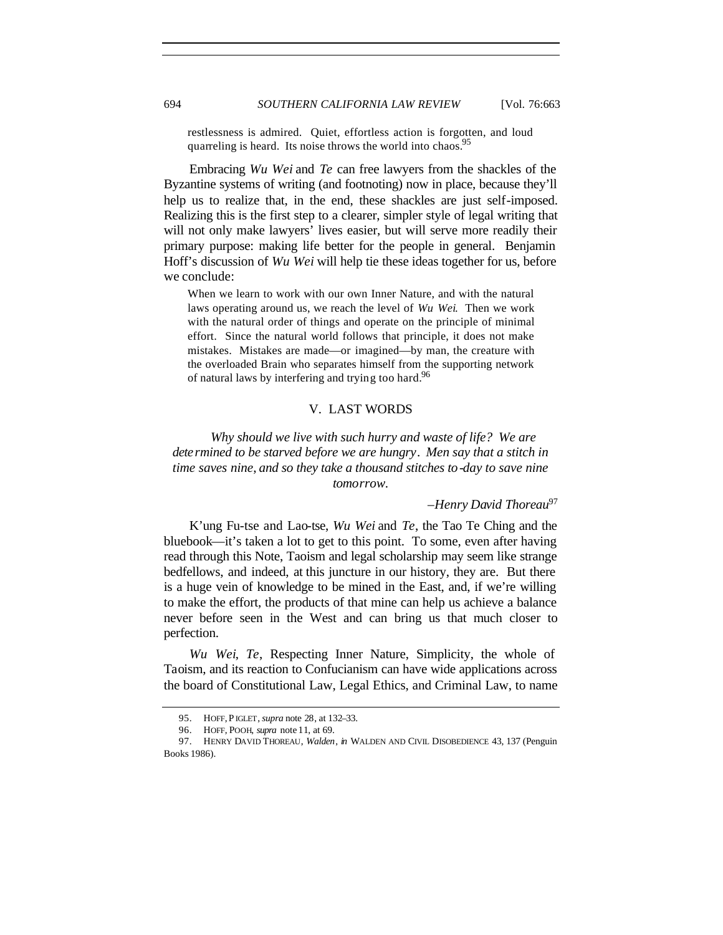restlessness is admired. Quiet, effortless action is forgotten, and loud quarreling is heard. Its noise throws the world into chaos.<sup>95</sup>

Embracing *Wu Wei* and *Te* can free lawyers from the shackles of the Byzantine systems of writing (and footnoting) now in place, because they'll help us to realize that, in the end, these shackles are just self-imposed. Realizing this is the first step to a clearer, simpler style of legal writing that will not only make lawyers' lives easier, but will serve more readily their primary purpose: making life better for the people in general. Benjamin Hoff's discussion of *Wu Wei* will help tie these ideas together for us, before we conclude:

When we learn to work with our own Inner Nature, and with the natural laws operating around us, we reach the level of *Wu Wei*. Then we work with the natural order of things and operate on the principle of minimal effort. Since the natural world follows that principle, it does not make mistakes. Mistakes are made—or imagined—by man, the creature with the overloaded Brain who separates himself from the supporting network of natural laws by interfering and trying too hard.<sup>96</sup>

## V. LAST WORDS

*Why should we live with such hurry and waste of life? We are determined to be starved before we are hungry*. *Men say that a stitch in time saves nine*, *and so they take a thousand stitches to-day to save nine tomorrow.*

*–Henry David Thoreau*<sup>97</sup>

K'ung Fu-tse and Lao-tse, *Wu Wei* and *Te*, the Tao Te Ching and the bluebook—it's taken a lot to get to this point. To some, even after having read through this Note, Taoism and legal scholarship may seem like strange bedfellows, and indeed, at this juncture in our history, they are. But there is a huge vein of knowledge to be mined in the East, and, if we're willing to make the effort, the products of that mine can help us achieve a balance never before seen in the West and can bring us that much closer to perfection.

*Wu Wei*, *Te*, Respecting Inner Nature, Simplicity, the whole of Taoism, and its reaction to Confucianism can have wide applications across the board of Constitutional Law, Legal Ethics, and Criminal Law, to name

<sup>95.</sup> HOFF, P IGLET, *supra* note 28, at 132–33.

<sup>96.</sup> HOFF, POOH, *supra* note 11, at 69.

<sup>97.</sup> HENRY DAVID THOREAU, *Walden*, *in* WALDEN AND CIVIL DISOBEDIENCE 43, 137 (Penguin Books 1986).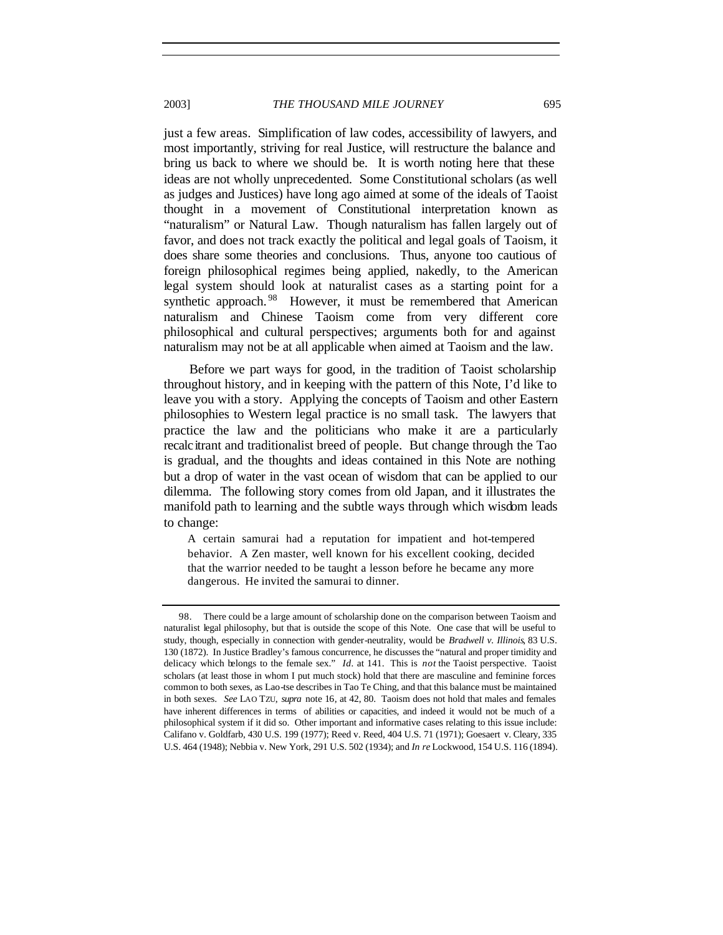just a few areas. Simplification of law codes, accessibility of lawyers, and most importantly, striving for real Justice, will restructure the balance and bring us back to where we should be. It is worth noting here that these ideas are not wholly unprecedented. Some Constitutional scholars (as well as judges and Justices) have long ago aimed at some of the ideals of Taoist thought in a movement of Constitutional interpretation known as "naturalism" or Natural Law. Though naturalism has fallen largely out of favor, and does not track exactly the political and legal goals of Taoism, it does share some theories and conclusions. Thus, anyone too cautious of foreign philosophical regimes being applied, nakedly, to the American legal system should look at naturalist cases as a starting point for a synthetic approach.<sup>98</sup> However, it must be remembered that American naturalism and Chinese Taoism come from very different core philosophical and cultural perspectives; arguments both for and against naturalism may not be at all applicable when aimed at Taoism and the law.

Before we part ways for good, in the tradition of Taoist scholarship throughout history, and in keeping with the pattern of this Note, I'd like to leave you with a story. Applying the concepts of Taoism and other Eastern philosophies to Western legal practice is no small task. The lawyers that practice the law and the politicians who make it are a particularly recalcitrant and traditionalist breed of people. But change through the Tao is gradual, and the thoughts and ideas contained in this Note are nothing but a drop of water in the vast ocean of wisdom that can be applied to our dilemma. The following story comes from old Japan, and it illustrates the manifold path to learning and the subtle ways through which wisdom leads to change:

A certain samurai had a reputation for impatient and hot-tempered behavior. A Zen master, well known for his excellent cooking, decided that the warrior needed to be taught a lesson before he became any more dangerous. He invited the samurai to dinner.

<sup>98.</sup> There could be a large amount of scholarship done on the comparison between Taoism and naturalist legal philosophy, but that is outside the scope of this Note. One case that will be useful to study, though, especially in connection with gender-neutrality, would be *Bradwell v. Illinois*, 83 U.S. 130 (1872). In Justice Bradley's famous concurrence, he discusses the "natural and proper timidity and delicacy which belongs to the female sex." *Id.* at 141. This is *not* the Taoist perspective. Taoist scholars (at least those in whom I put much stock) hold that there are masculine and feminine forces common to both sexes, as Lao-tse describes in Tao Te Ching, and that this balance must be maintained in both sexes. *See* LAO TZU, *supra* note 16, at 42, 80. Taoism does not hold that males and females have inherent differences in terms of abilities or capacities, and indeed it would not be much of a philosophical system if it did so. Other important and informative cases relating to this issue include: Califano v. Goldfarb, 430 U.S. 199 (1977); Reed v. Reed, 404 U.S. 71 (1971); Goesaert v. Cleary, 335 U.S. 464 (1948); Nebbia v. New York, 291 U.S. 502 (1934); and *In re* Lockwood, 154 U.S. 116 (1894).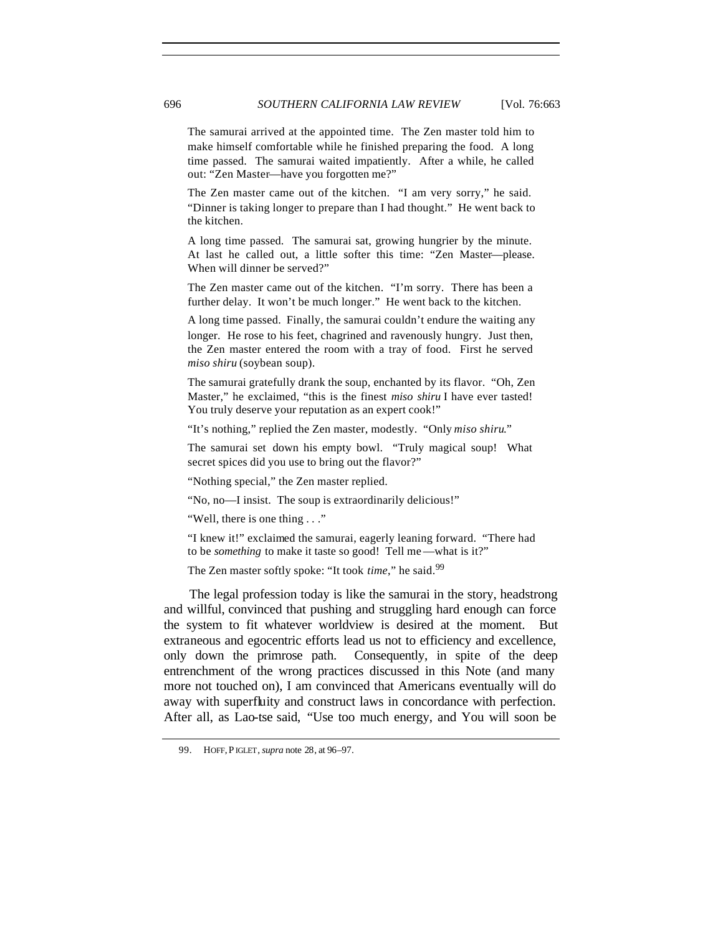The samurai arrived at the appointed time. The Zen master told him to make himself comfortable while he finished preparing the food. A long time passed. The samurai waited impatiently. After a while, he called out: "Zen Master—have you forgotten me?"

The Zen master came out of the kitchen. "I am very sorry," he said. "Dinner is taking longer to prepare than I had thought." He went back to the kitchen.

A long time passed. The samurai sat, growing hungrier by the minute. At last he called out, a little softer this time: "Zen Master—please. When will dinner be served?"

The Zen master came out of the kitchen. "I'm sorry. There has been a further delay. It won't be much longer." He went back to the kitchen.

A long time passed. Finally, the samurai couldn't endure the waiting any longer. He rose to his feet, chagrined and ravenously hungry. Just then, the Zen master entered the room with a tray of food. First he served *miso shiru* (soybean soup).

The samurai gratefully drank the soup, enchanted by its flavor. "Oh, Zen Master," he exclaimed, "this is the finest *miso shiru* I have ever tasted! You truly deserve your reputation as an expert cook!"

"It's nothing," replied the Zen master, modestly. "Only *miso shiru*."

The samurai set down his empty bowl. "Truly magical soup! What secret spices did you use to bring out the flavor?"

"Nothing special," the Zen master replied.

"No, no—I insist. The soup is extraordinarily delicious!"

"Well, there is one thing . . ."

"I knew it!" exclaimed the samurai, eagerly leaning forward. "There had to be *something* to make it taste so good! Tell me—what is it?"

The Zen master softly spoke: "It took *time*," he said.<sup>99</sup>

The legal profession today is like the samurai in the story, headstrong and willful, convinced that pushing and struggling hard enough can force the system to fit whatever worldview is desired at the moment. But extraneous and egocentric efforts lead us not to efficiency and excellence, only down the primrose path. Consequently, in spite of the deep entrenchment of the wrong practices discussed in this Note (and many more not touched on), I am convinced that Americans eventually will do away with superfluity and construct laws in concordance with perfection. After all, as Lao-tse said, "Use too much energy, and You will soon be

<sup>99.</sup> HOFF, P IGLET, *supra* note 28, at 96–97.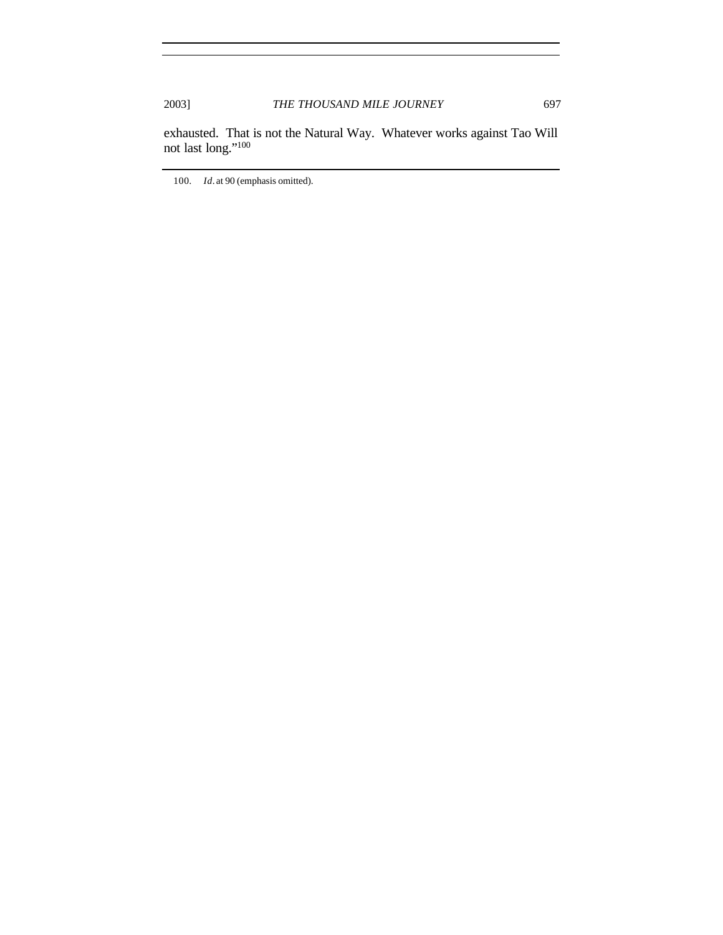exhausted. That is not the Natural Way. Whatever works against Tao Will not last long."<sup>100</sup>

<sup>100</sup>*. Id*. at 90 (emphasis omitted).